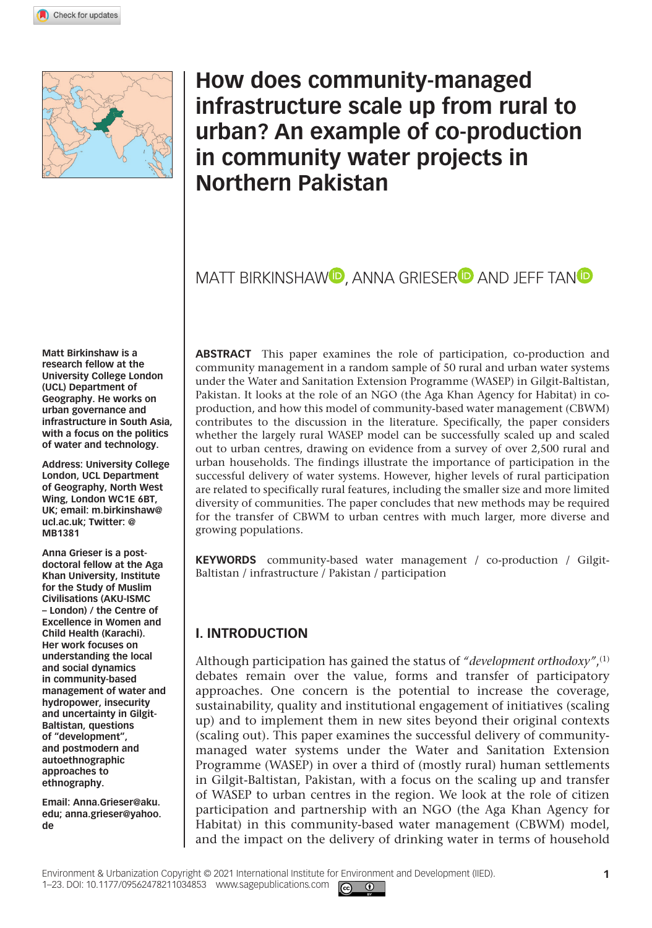**10[34853](http://crossmark.crossref.org/dialog/?doi=10.1177%2F09562478211034853&domain=pdf&date_stamp=2021-09-14)**EAU Environment & Urbanization



## **How does community-managed infrastructure scale up from rural to urban? An example of co-production in community water projects in Northern Pakistan**

## MATT BIRKINSHAW<sup>D</sup>, ANNA GRIESER<sup>D</sup> AND JEFF TAND

**Matt Birkinshaw is a research fellow at the University College London (UCL) Department of Geography. He works on urban governance and infrastructure in South Asia, with a focus on the politics of water and technology.**

**Address: University College London, UCL Department of Geography, North West Wing, London WC1E 6BT, UK; email: [m.birkinshaw@](mailto:m.birkinshaw@ucl.ac.uk) [ucl.ac.uk;](mailto:m.birkinshaw@ucl.ac.uk) Twitter: @ MB1381**

**Anna Grieser is a postdoctoral fellow at the Aga Khan University, Institute for the Study of Muslim Civilisations (AKU-ISMC – London) / the Centre of Excellence in Women and Child Health (Karachi). Her work focuses on understanding the local and social dynamics in community-based management of water and hydropower, insecurity and uncertainty in Gilgit-Baltistan, questions of "development", and postmodern and autoethnographic approaches to ethnography.**

**Email: [Anna.Grieser@aku.](mailto:Anna.Grieser@aku.edu) [edu](mailto:Anna.Grieser@aku.edu); [anna.grieser@yahoo.](mailto:anna.grieser@yahoo.de) [de](mailto:anna.grieser@yahoo.de)**

**Abstract** This paper examines the role of participation, co-production and community management in a random sample of 50 rural and urban water systems under the Water and Sanitation Extension Programme (WASEP) in Gilgit-Baltistan, Pakistan. It looks at the role of an NGO (the Aga Khan Agency for Habitat) in coproduction, and how this model of community-based water management (CBWM) contributes to the discussion in the literature. Specifically, the paper considers whether the largely rural WASEP model can be successfully scaled up and scaled out to urban centres, drawing on evidence from a survey of over 2,500 rural and urban households. The findings illustrate the importance of participation in the successful delivery of water systems. However, higher levels of rural participation are related to specifically rural features, including the smaller size and more limited diversity of communities. The paper concludes that new methods may be required for the transfer of CBWM to urban centres with much larger, more diverse and growing populations.

**KEYWORDS** community-based water management / co-production / Gilgit-Baltistan / infrastructure / Pakistan / participation

### **I. Introduction**

Although participation has gained the status of *"development orthodoxy"*,(1) debates remain over the value, forms and transfer of participatory approaches. One concern is the potential to increase the coverage, sustainability, quality and institutional engagement of initiatives (scaling up) and to implement them in new sites beyond their original contexts (scaling out). This paper examines the successful delivery of communitymanaged water systems under the Water and Sanitation Extension Programme (WASEP) in over a third of (mostly rural) human settlements in Gilgit-Baltistan, Pakistan, with a focus on the scaling up and transfer of WASEP to urban centres in the region. We look at the role of citizen participation and partnership with an NGO (the Aga Khan Agency for Habitat) in this community-based water management (CBWM) model, and the impact on the delivery of drinking water in terms of household

 $\boxed{6}$   $\boxed{0}$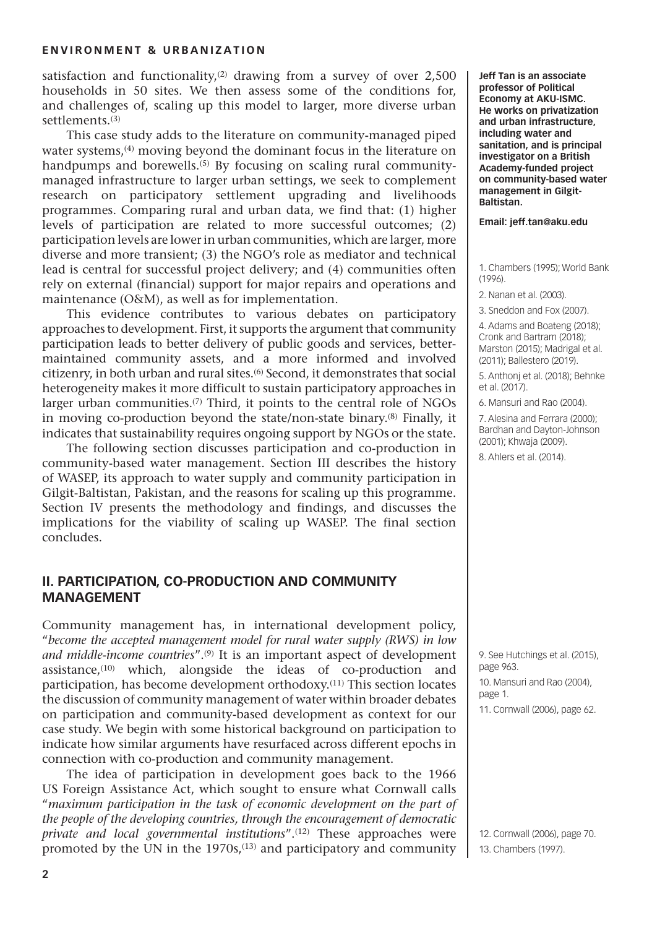satisfaction and functionality, $(2)$  drawing from a survey of over 2,500 households in 50 sites. We then assess some of the conditions for, and challenges of, scaling up this model to larger, more diverse urban settlements.<sup>(3)</sup>

This case study adds to the literature on community-managed piped water systems,<sup>(4)</sup> moving beyond the dominant focus in the literature on handpumps and borewells.<sup>(5)</sup> By focusing on scaling rural communitymanaged infrastructure to larger urban settings, we seek to complement research on participatory settlement upgrading and livelihoods programmes. Comparing rural and urban data, we find that: (1) higher levels of participation are related to more successful outcomes; (2) participation levels are lower in urban communities, which are larger, more diverse and more transient; (3) the NGO's role as mediator and technical lead is central for successful project delivery; and (4) communities often rely on external (financial) support for major repairs and operations and maintenance (O&M), as well as for implementation.

This evidence contributes to various debates on participatory approaches to development. First, it supports the argument that community participation leads to better delivery of public goods and services, bettermaintained community assets, and a more informed and involved citizenry, in both urban and rural sites.(6) Second, it demonstrates that social heterogeneity makes it more difficult to sustain participatory approaches in larger urban communities.<sup>(7)</sup> Third, it points to the central role of NGOs in moving co-production beyond the state/non-state binary.(8) Finally, it indicates that sustainability requires ongoing support by NGOs or the state.

The following section discusses participation and co-production in community-based water management. Section III describes the history of WASEP, its approach to water supply and community participation in Gilgit-Baltistan, Pakistan, and the reasons for scaling up this programme. Section IV presents the methodology and findings, and discusses the implications for the viability of scaling up WASEP. The final section concludes.

#### **II. Participation, Co-Production and Community Management**

Community management has, in international development policy, "*become the accepted management model for rural water supply (RWS) in low and middle-income countries*".(9) It is an important aspect of development assistance, $(10)$  which, alongside the ideas of co-production and participation, has become development orthodoxy.(11) This section locates the discussion of community management of water within broader debates on participation and community-based development as context for our case study. We begin with some historical background on participation to indicate how similar arguments have resurfaced across different epochs in connection with co-production and community management.

The idea of participation in development goes back to the 1966 US Foreign Assistance Act, which sought to ensure what Cornwall calls "*maximum participation in the task of economic development on the part of the people of the developing countries, through the encouragement of democratic private and local governmental institutions*".(12) These approaches were promoted by the UN in the  $1970s$ ,<sup> $(13)$ </sup> and participatory and community

**Jeff Tan is an associate professor of Political Economy at AKU-ISMC. He works on privatization and urban infrastructure, including water and sanitation, and is principal investigator on a British Academy-funded project on community-based water management in Gilgit-Baltistan.**

**Email: [jeff.tan@aku.edu](mailto:jeff.tan@aku.edu)**

1. Chambers (1995); World Bank (1996).

2. Nanan et al. (2003).

3. Sneddon and Fox (2007).

4. Adams and Boateng (2018); Cronk and Bartram (2018); Marston (2015); Madrigal et al. (2011); Ballestero (2019).

5. Anthonj et al. (2018); Behnke et al. (2017).

6. Mansuri and Rao (2004).

7. Alesina and Ferrara (2000); Bardhan and Dayton-Johnson (2001); Khwaja (2009).

8. Ahlers et al. (2014).

9. See Hutchings et al. (2015), page 963.

10. Mansuri and Rao (2004), page 1.

11. Cornwall (2006), page 62.

12. Cornwall (2006), page 70. 13. Chambers (1997).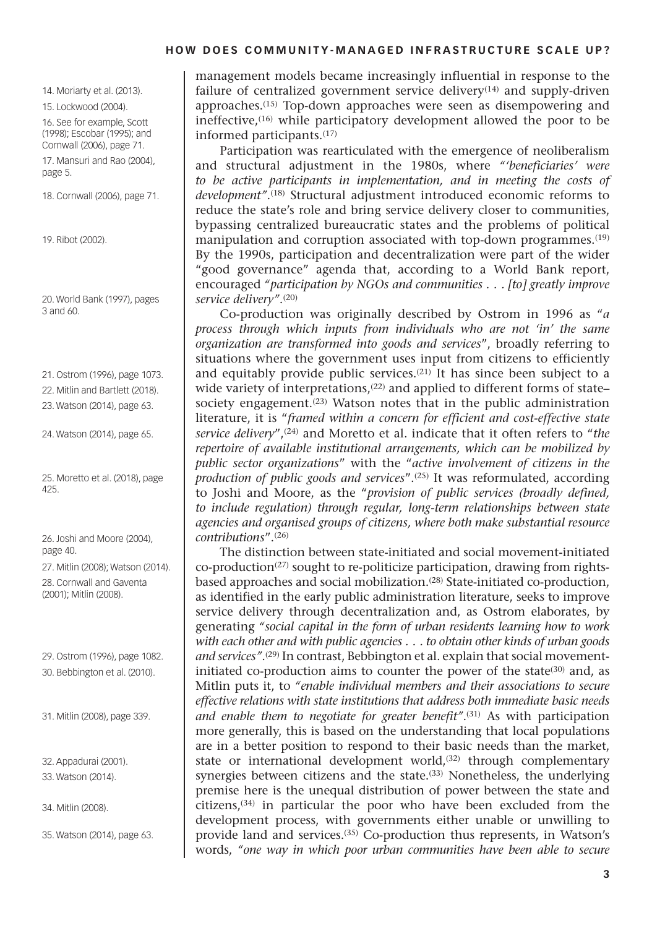14. Moriarty et al. (2013).

15. Lockwood (2004).

16. See for example, Scott (1998); Escobar (1995); and Cornwall (2006), page 71.

17. Mansuri and Rao (2004), page 5.

18. Cornwall (2006), page 71.

19. Ribot (2002).

20. World Bank (1997), pages 3 and 60.

21. Ostrom (1996), page 1073.

22. Mitlin and Bartlett (2018).

23. Watson (2014), page 63.

24. Watson (2014), page 65.

25. Moretto et al. (2018), page 425.

26. Joshi and Moore (2004), page 40.

27. Mitlin (2008); Watson (2014). 28. Cornwall and Gaventa (2001); Mitlin (2008).

29. Ostrom (1996), page 1082. 30. Bebbington et al. (2010).

31. Mitlin (2008), page 339.

32. Appadurai (2001). 33. Watson (2014).

34. Mitlin (2008).

35. Watson (2014), page 63.

management models became increasingly influential in response to the failure of centralized government service delivery $(14)$  and supply-driven approaches.(15) Top-down approaches were seen as disempowering and ineffective,(16) while participatory development allowed the poor to be informed participants.(17)

Participation was rearticulated with the emergence of neoliberalism and structural adjustment in the 1980s, where *"'beneficiaries' were to be active participants in implementation, and in meeting the costs of development"*.(18) Structural adjustment introduced economic reforms to reduce the state's role and bring service delivery closer to communities, bypassing centralized bureaucratic states and the problems of political manipulation and corruption associated with top-down programmes.<sup>(19)</sup> By the 1990s, participation and decentralization were part of the wider "good governance" agenda that, according to a World Bank report, encouraged *"participation by NGOs and communities . . . [to] greatly improve service delivery"*.(20)

Co-production was originally described by Ostrom in 1996 as "*a process through which inputs from individuals who are not 'in' the same organization are transformed into goods and services*", broadly referring to situations where the government uses input from citizens to efficiently and equitably provide public services.<sup>(21)</sup> It has since been subject to a wide variety of interpretations.<sup>(22)</sup> and applied to different forms of state– society engagement.<sup>(23)</sup> Watson notes that in the public administration literature, it is "*framed within a concern for efficient and cost-effective state service delivery*",(24) and Moretto et al. indicate that it often refers to "*the repertoire of available institutional arrangements, which can be mobilized by public sector organizations*" with the "*active involvement of citizens in the production of public goods and services*".(25) It was reformulated, according to Joshi and Moore, as the "*provision of public services (broadly defined, to include regulation) through regular, long-term relationships between state agencies and organised groups of citizens, where both make substantial resource contributions*".(26)

The distinction between state-initiated and social movement-initiated co-production(27) sought to re-politicize participation, drawing from rightsbased approaches and social mobilization.(28) State-initiated co-production, as identified in the early public administration literature, seeks to improve service delivery through decentralization and, as Ostrom elaborates, by generating *"social capital in the form of urban residents learning how to work with each other and with public agencies . . . to obtain other kinds of urban goods*  and services".<sup>(29)</sup> In contrast, Bebbington et al. explain that social movementinitiated co-production aims to counter the power of the state  $(30)$  and, as Mitlin puts it, to *"enable individual members and their associations to secure effective relations with state institutions that address both immediate basic needs*  and enable them to negotiate for greater benefit".<sup>(31)</sup> As with participation more generally, this is based on the understanding that local populations are in a better position to respond to their basic needs than the market, state or international development world,<sup>(32)</sup> through complementary synergies between citizens and the state.<sup>(33)</sup> Nonetheless, the underlying premise here is the unequal distribution of power between the state and citizens,(34) in particular the poor who have been excluded from the development process, with governments either unable or unwilling to provide land and services.(35) Co-production thus represents, in Watson's words, *"one way in which poor urban communities have been able to secure*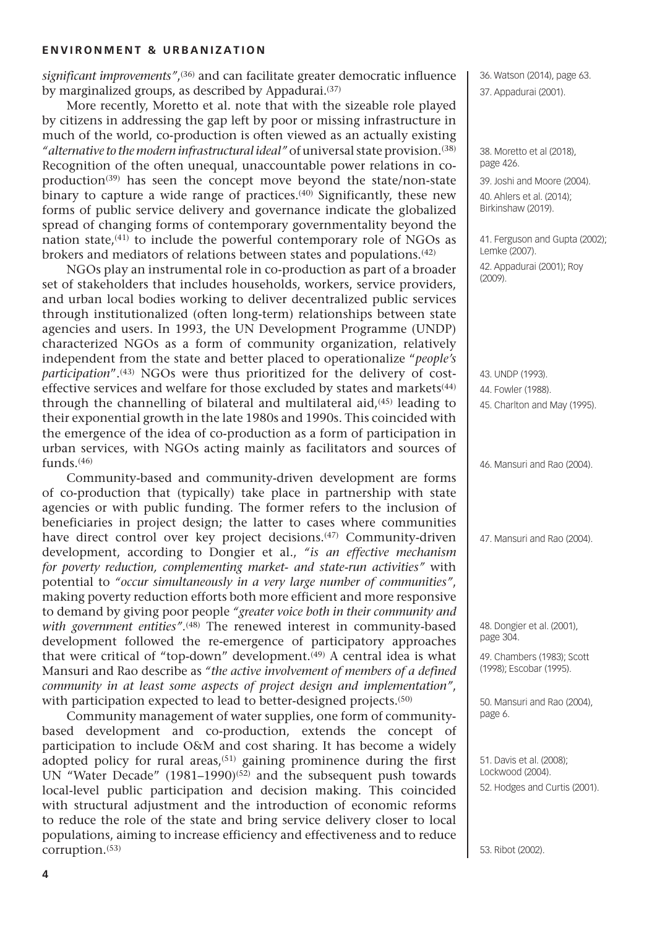*significant improvements"*, (36) and can facilitate greater democratic influence by marginalized groups, as described by Appadurai.<sup>(37)</sup>

More recently, Moretto et al. note that with the sizeable role played by citizens in addressing the gap left by poor or missing infrastructure in much of the world, co-production is often viewed as an actually existing *"alternative to the modern infrastructural ideal"* of universal state provision.(38) Recognition of the often unequal, unaccountable power relations in coproduction<sup>(39)</sup> has seen the concept move beyond the state/non-state binary to capture a wide range of practices.<sup>(40)</sup> Significantly, these new forms of public service delivery and governance indicate the globalized spread of changing forms of contemporary governmentality beyond the nation state, $(41)$  to include the powerful contemporary role of NGOs as brokers and mediators of relations between states and populations.(42)

NGOs play an instrumental role in co-production as part of a broader set of stakeholders that includes households, workers, service providers, and urban local bodies working to deliver decentralized public services through institutionalized (often long-term) relationships between state agencies and users. In 1993, the UN Development Programme (UNDP) characterized NGOs as a form of community organization, relatively independent from the state and better placed to operationalize "*people's participation*".<sup>(43)</sup> NGOs were thus prioritized for the delivery of costeffective services and welfare for those excluded by states and markets $(44)$ through the channelling of bilateral and multilateral aid,(45) leading to their exponential growth in the late 1980s and 1990s. This coincided with the emergence of the idea of co-production as a form of participation in urban services, with NGOs acting mainly as facilitators and sources of funds.(46)

Community-based and community-driven development are forms of co-production that (typically) take place in partnership with state agencies or with public funding. The former refers to the inclusion of beneficiaries in project design; the latter to cases where communities have direct control over key project decisions.<sup>(47)</sup> Community-driven development, according to Dongier et al., *"is an effective mechanism for poverty reduction, complementing market- and state-run activities"* with potential to *"occur simultaneously in a very large number of communities"*, making poverty reduction efforts both more efficient and more responsive to demand by giving poor people *"greater voice both in their community and*  with *government entities"*.<sup>(48)</sup> The renewed interest in community-based development followed the re-emergence of participatory approaches that were critical of "top-down" development.<sup>(49)</sup> A central idea is what Mansuri and Rao describe as *"the active involvement of members of a defined community in at least some aspects of project design and implementation"*, with participation expected to lead to better-designed projects.<sup>(50)</sup>

Community management of water supplies, one form of communitybased development and co-production, extends the concept of participation to include O&M and cost sharing. It has become a widely adopted policy for rural areas, $(51)$  gaining prominence during the first UN "Water Decade" (1981–1990)<sup>(52)</sup> and the subsequent push towards local-level public participation and decision making. This coincided with structural adjustment and the introduction of economic reforms to reduce the role of the state and bring service delivery closer to local populations, aiming to increase efficiency and effectiveness and to reduce corruption.(53)

36. Watson (2014), page 63. 37. Appadurai (2001).

38. Moretto et al (2018), page 426.

39. Joshi and Moore (2004).

40. Ahlers et al. (2014); Birkinshaw (2019).

41. Ferguson and Gupta (2002); Lemke (2007). 42. Appadurai (2001); Roy (2009).

43. UNDP (1993). 44. Fowler (1988). 45. Charlton and May (1995).

46. Mansuri and Rao (2004).

47. Mansuri and Rao (2004).

48. Dongier et al. (2001), page 304.

49. Chambers (1983); Scott (1998); Escobar (1995).

50. Mansuri and Rao (2004), page 6.

51. Davis et al. (2008); Lockwood (2004). 52. Hodges and Curtis (2001).

53. Ribot (2002).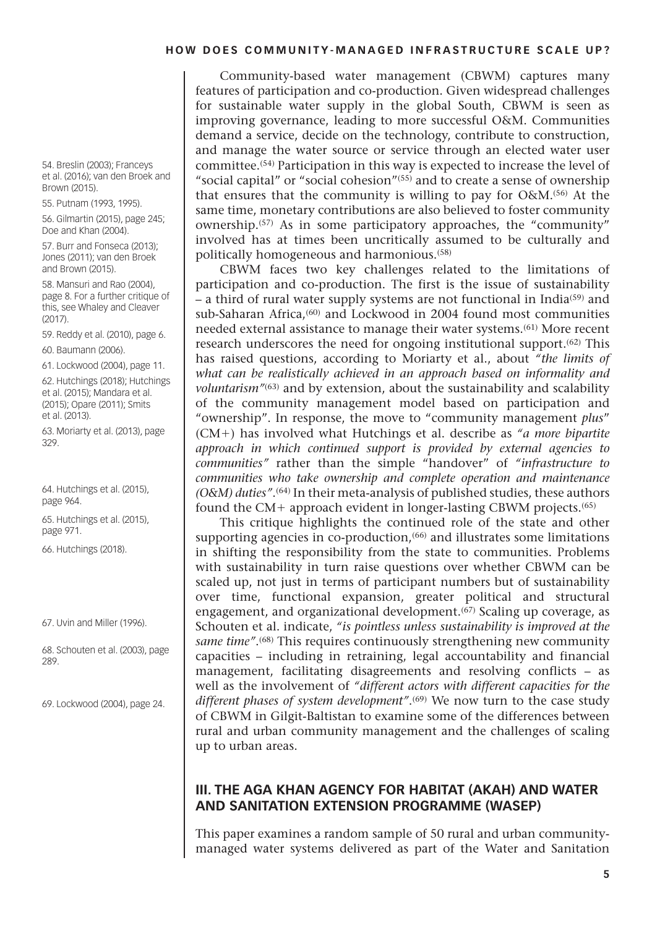Community-based water management (CBWM) captures many features of participation and co-production. Given widespread challenges for sustainable water supply in the global South, CBWM is seen as improving governance, leading to more successful O&M. Communities demand a service, decide on the technology, contribute to construction, and manage the water source or service through an elected water user committee.(54) Participation in this way is expected to increase the level of "social capital" or "social cohesion"(55) and to create a sense of ownership that ensures that the community is willing to pay for O&M.(56) At the same time, monetary contributions are also believed to foster community ownership.(57) As in some participatory approaches, the "community" involved has at times been uncritically assumed to be culturally and politically homogeneous and harmonious.(58)

CBWM faces two key challenges related to the limitations of participation and co-production. The first is the issue of sustainability – a third of rural water supply systems are not functional in India(59) and sub-Saharan Africa,<sup>(60)</sup> and Lockwood in 2004 found most communities needed external assistance to manage their water systems.(61) More recent research underscores the need for ongoing institutional support.(62) This has raised questions, according to Moriarty et al., about *"the limits of what can be realistically achieved in an approach based on informality and voluntarism"*(63) and by extension, about the sustainability and scalability of the community management model based on participation and "ownership". In response, the move to "community management *plus*" (CM+) has involved what Hutchings et al. describe as *"a more bipartite approach in which continued support is provided by external agencies to communities"* rather than the simple "handover" of *"infrastructure to communities who take ownership and complete operation and maintenance (O&M) duties"*.(64) In their meta-analysis of published studies, these authors found the CM+ approach evident in longer-lasting CBWM projects.(65)

This critique highlights the continued role of the state and other supporting agencies in co-production,<sup>(66)</sup> and illustrates some limitations in shifting the responsibility from the state to communities. Problems with sustainability in turn raise questions over whether CBWM can be scaled up, not just in terms of participant numbers but of sustainability over time, functional expansion, greater political and structural engagement, and organizational development.<sup>(67)</sup> Scaling up coverage, as Schouten et al. indicate, *"is pointless unless sustainability is improved at the same time"*.(68) This requires continuously strengthening new community capacities – including in retraining, legal accountability and financial management, facilitating disagreements and resolving conflicts – as well as the involvement of *"different actors with different capacities for the*  different phases of system development".<sup>(69)</sup> We now turn to the case study of CBWM in Gilgit-Baltistan to examine some of the differences between rural and urban community management and the challenges of scaling up to urban areas.

#### **III. THE AGA KHAN AGENCY FOR HABITAT (AKAH) AND WATER AND SANITATION EXTENSION PROGRAMME (WASEP)**

This paper examines a random sample of 50 rural and urban communitymanaged water systems delivered as part of the Water and Sanitation

54. Breslin (2003); Franceys et al. (2016); van den Broek and Brown (2015).

55. Putnam (1993, 1995).

56. Gilmartin (2015), page 245; Doe and Khan (2004).

57. Burr and Fonseca (2013); Jones (2011); van den Broek and Brown (2015).

58. Mansuri and Rao (2004), page 8. For a further critique of this, see Whaley and Cleaver  $(2017)$ 

59. Reddy et al. (2010), page 6.

60. Baumann (2006).

61. Lockwood (2004), page 11.

62. Hutchings (2018); Hutchings et al. (2015); Mandara et al. (2015); Opare (2011); Smits et al. (2013).

63. Moriarty et al. (2013), page 329.

64. Hutchings et al. (2015), page 964.

65. Hutchings et al. (2015), page 971.

66. Hutchings (2018).

67. Uvin and Miller (1996).

68. Schouten et al. (2003), page 289.

69. Lockwood (2004), page 24.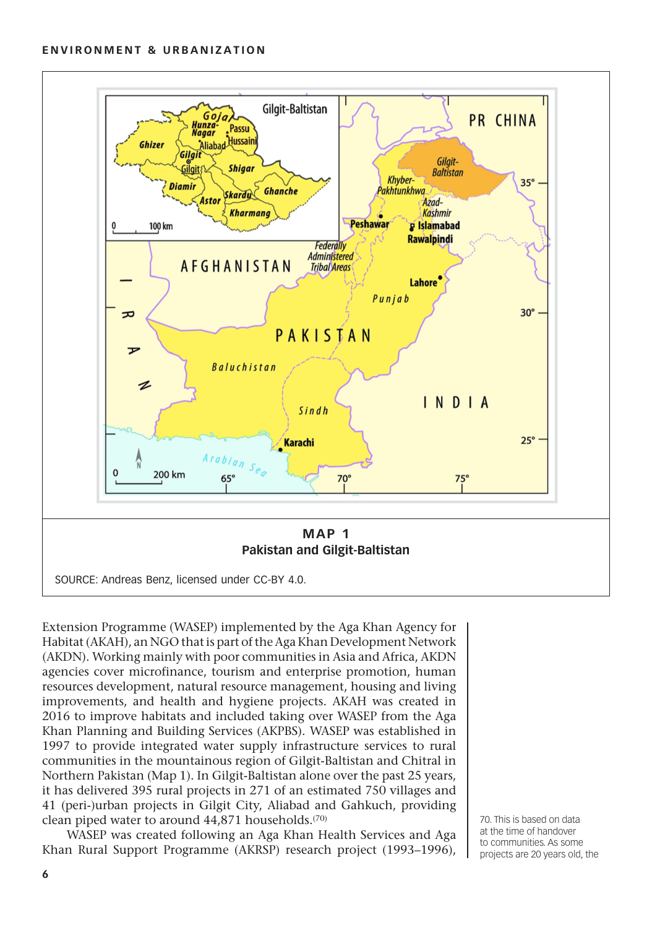

Extension Programme (WASEP) implemented by the Aga Khan Agency for Habitat (AKAH), an NGO that is part of the Aga Khan Development Network (AKDN). Working mainly with poor communities in Asia and Africa, AKDN agencies cover microfinance, tourism and enterprise promotion, human resources development, natural resource management, housing and living improvements, and health and hygiene projects. AKAH was created in 2016 to improve habitats and included taking over WASEP from the Aga Khan Planning and Building Services (AKPBS). WASEP was established in 1997 to provide integrated water supply infrastructure services to rural communities in the mountainous region of Gilgit-Baltistan and Chitral in Northern Pakistan (Map 1). In Gilgit-Baltistan alone over the past 25 years, it has delivered 395 rural projects in 271 of an estimated 750 villages and 41 (peri-)urban projects in Gilgit City, Aliabad and Gahkuch, providing clean piped water to around 44,871 households.<sup>(70)</sup>

WASEP was created following an Aga Khan Health Services and Aga Khan Rural Support Programme (AKRSP) research project (1993–1996),

70. This is based on data at the time of handover to communities. As some projects are 20 years old, the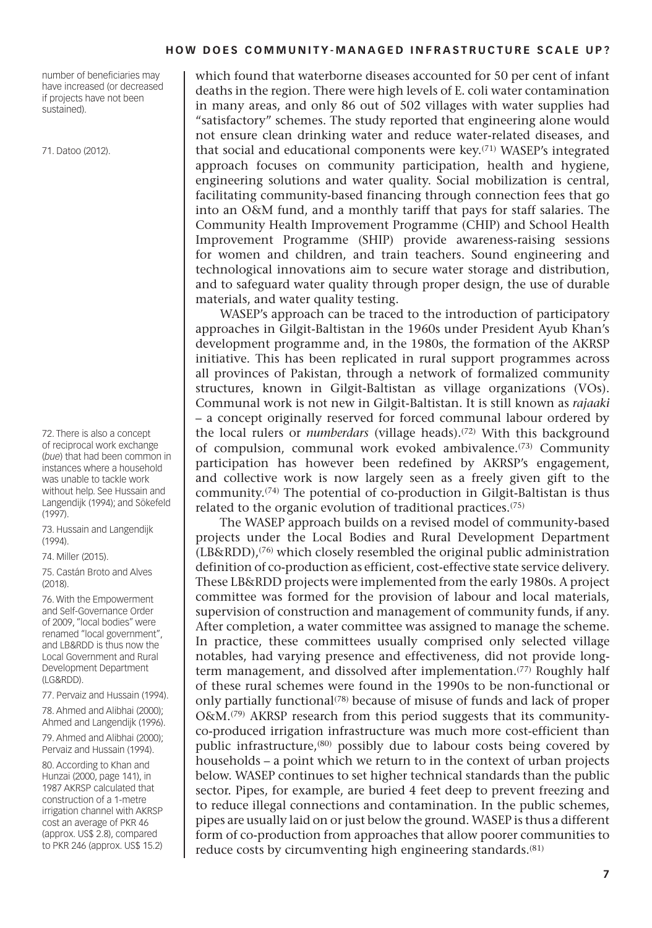number of beneficiaries may have increased (or decreased if projects have not been sustained).

71. Datoo (2012).

72. There is also a concept of reciprocal work exchange (*bue*) that had been common in instances where a household was unable to tackle work without help. See Hussain and Langendijk (1994); and Sökefeld (1997).

73. Hussain and Langendijk (1994).

74. Miller (2015).

75. Castán Broto and Alves (2018).

76. With the Empowerment and Self-Governance Order of 2009, "local bodies" were renamed "local government", and LB&RDD is thus now the Local Government and Rural Development Department (LG&RDD).

77. Pervaiz and Hussain (1994).

78. Ahmed and Alibhai (2000); Ahmed and Langendijk (1996).

79. Ahmed and Alibhai (2000); Pervaiz and Hussain (1994).

80. According to Khan and Hunzai (2000, page 141), in 1987 AKRSP calculated that construction of a 1-metre irrigation channel with AKRSP cost an average of PKR 46 (approx. US\$ 2.8), compared to PKR 246 (approx. US\$ 15.2)

which found that waterborne diseases accounted for 50 per cent of infant deaths in the region. There were high levels of E. coli water contamination in many areas, and only 86 out of 502 villages with water supplies had "satisfactory" schemes. The study reported that engineering alone would not ensure clean drinking water and reduce water-related diseases, and that social and educational components were key.<sup>(71)</sup> WASEP's integrated approach focuses on community participation, health and hygiene, engineering solutions and water quality. Social mobilization is central, facilitating community-based financing through connection fees that go into an O&M fund, and a monthly tariff that pays for staff salaries. The Community Health Improvement Programme (CHIP) and School Health Improvement Programme (SHIP) provide awareness-raising sessions for women and children, and train teachers. Sound engineering and technological innovations aim to secure water storage and distribution, and to safeguard water quality through proper design, the use of durable materials, and water quality testing.

WASEP's approach can be traced to the introduction of participatory approaches in Gilgit-Baltistan in the 1960s under President Ayub Khan's development programme and, in the 1980s, the formation of the AKRSP initiative. This has been replicated in rural support programmes across all provinces of Pakistan, through a network of formalized community structures, known in Gilgit-Baltistan as village organizations (VOs). Communal work is not new in Gilgit-Baltistan. It is still known as *rajaaki* – a concept originally reserved for forced communal labour ordered by the local rulers or *numberdars* (village heads).<sup>(72)</sup> With this background of compulsion, communal work evoked ambivalence.<sup>(73)</sup> Community participation has however been redefined by AKRSP's engagement, and collective work is now largely seen as a freely given gift to the community.(74) The potential of co-production in Gilgit-Baltistan is thus related to the organic evolution of traditional practices.(75)

The WASEP approach builds on a revised model of community-based projects under the Local Bodies and Rural Development Department (LB&RDD),(76) which closely resembled the original public administration definition of co-production as efficient, cost-effective state service delivery. These LB&RDD projects were implemented from the early 1980s. A project committee was formed for the provision of labour and local materials, supervision of construction and management of community funds, if any. After completion, a water committee was assigned to manage the scheme. In practice, these committees usually comprised only selected village notables, had varying presence and effectiveness, did not provide longterm management, and dissolved after implementation.(77) Roughly half of these rural schemes were found in the 1990s to be non-functional or only partially functional<sup> $(78)$ </sup> because of misuse of funds and lack of proper O&M.(79) AKRSP research from this period suggests that its communityco-produced irrigation infrastructure was much more cost-efficient than public infrastructure,(80) possibly due to labour costs being covered by households – a point which we return to in the context of urban projects below. WASEP continues to set higher technical standards than the public sector. Pipes, for example, are buried 4 feet deep to prevent freezing and to reduce illegal connections and contamination. In the public schemes, pipes are usually laid on or just below the ground. WASEP is thus a different form of co-production from approaches that allow poorer communities to reduce costs by circumventing high engineering standards.(81)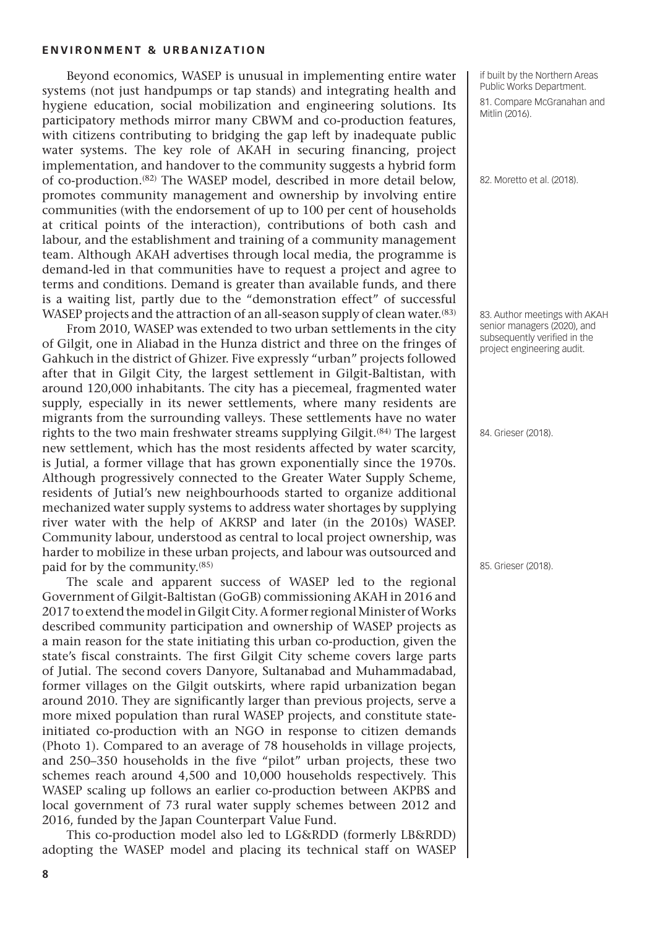Beyond economics, WASEP is unusual in implementing entire water systems (not just handpumps or tap stands) and integrating health and hygiene education, social mobilization and engineering solutions. Its participatory methods mirror many CBWM and co-production features, with citizens contributing to bridging the gap left by inadequate public water systems. The key role of AKAH in securing financing, project implementation, and handover to the community suggests a hybrid form of co-production.(82) The WASEP model, described in more detail below, promotes community management and ownership by involving entire communities (with the endorsement of up to 100 per cent of households at critical points of the interaction), contributions of both cash and labour, and the establishment and training of a community management team. Although AKAH advertises through local media, the programme is demand-led in that communities have to request a project and agree to terms and conditions. Demand is greater than available funds, and there is a waiting list, partly due to the "demonstration effect" of successful WASEP projects and the attraction of an all-season supply of clean water.<sup>(83)</sup>

From 2010, WASEP was extended to two urban settlements in the city of Gilgit, one in Aliabad in the Hunza district and three on the fringes of Gahkuch in the district of Ghizer. Five expressly "urban" projects followed after that in Gilgit City, the largest settlement in Gilgit-Baltistan, with around 120,000 inhabitants. The city has a piecemeal, fragmented water supply, especially in its newer settlements, where many residents are migrants from the surrounding valleys. These settlements have no water rights to the two main freshwater streams supplying Gilgit.(84) The largest new settlement, which has the most residents affected by water scarcity, is Jutial, a former village that has grown exponentially since the 1970s. Although progressively connected to the Greater Water Supply Scheme, residents of Jutial's new neighbourhoods started to organize additional mechanized water supply systems to address water shortages by supplying river water with the help of AKRSP and later (in the 2010s) WASEP. Community labour, understood as central to local project ownership, was harder to mobilize in these urban projects, and labour was outsourced and paid for by the community.(85)

The scale and apparent success of WASEP led to the regional Government of Gilgit-Baltistan (GoGB) commissioning AKAH in 2016 and 2017 to extend the model in Gilgit City. A former regional Minister of Works described community participation and ownership of WASEP projects as a main reason for the state initiating this urban co-production, given the state's fiscal constraints. The first Gilgit City scheme covers large parts of Jutial. The second covers Danyore, Sultanabad and Muhammadabad, former villages on the Gilgit outskirts, where rapid urbanization began around 2010. They are significantly larger than previous projects, serve a more mixed population than rural WASEP projects, and constitute stateinitiated co-production with an NGO in response to citizen demands (Photo 1). Compared to an average of 78 households in village projects, and 250–350 households in the five "pilot" urban projects, these two schemes reach around 4,500 and 10,000 households respectively. This WASEP scaling up follows an earlier co-production between AKPBS and local government of 73 rural water supply schemes between 2012 and 2016, funded by the Japan Counterpart Value Fund.

This co-production model also led to LG&RDD (formerly LB&RDD) adopting the WASEP model and placing its technical staff on WASEP if built by the Northern Areas Public Works Department. 81. Compare McGranahan and Mitlin (2016).

82. Moretto et al. (2018).

83. Author meetings with AKAH senior managers (2020), and subsequently verified in the project engineering audit.

84. Grieser (2018).

85. Grieser (2018).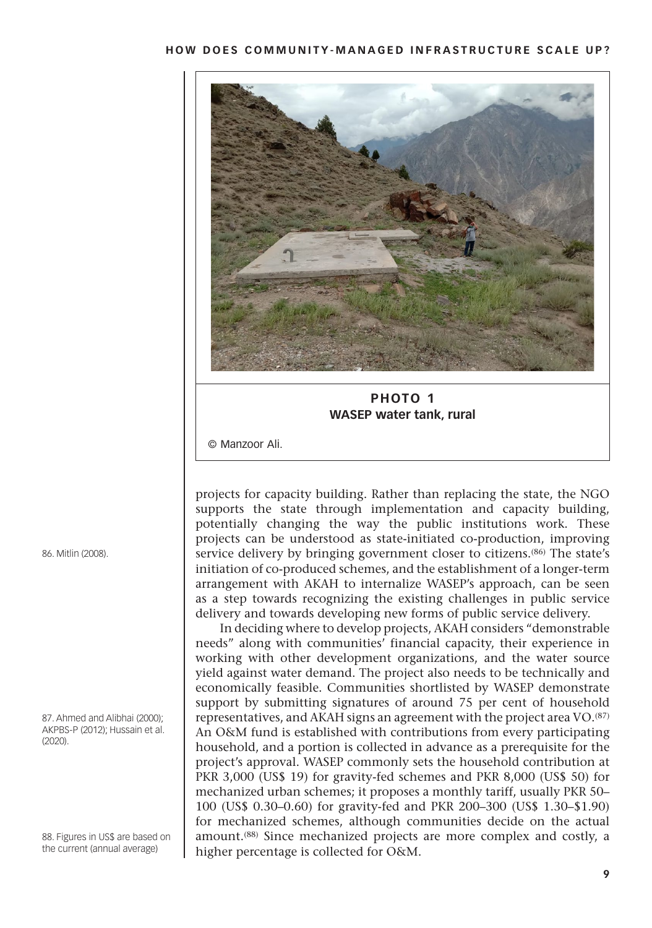

**PHOTO 1 WASEP water tank, rural** 

© Manzoor Ali.

projects for capacity building. Rather than replacing the state, the NGO supports the state through implementation and capacity building, potentially changing the way the public institutions work. These projects can be understood as state-initiated co-production, improving service delivery by bringing government closer to citizens.(86) The state's initiation of co-produced schemes, and the establishment of a longer-term arrangement with AKAH to internalize WASEP's approach, can be seen as a step towards recognizing the existing challenges in public service delivery and towards developing new forms of public service delivery.

In deciding where to develop projects, AKAH considers "demonstrable needs" along with communities' financial capacity, their experience in working with other development organizations, and the water source yield against water demand. The project also needs to be technically and economically feasible. Communities shortlisted by WASEP demonstrate support by submitting signatures of around 75 per cent of household representatives, and AKAH signs an agreement with the project area VO.(87) An O&M fund is established with contributions from every participating household, and a portion is collected in advance as a prerequisite for the project's approval. WASEP commonly sets the household contribution at PKR 3,000 (US\$ 19) for gravity-fed schemes and PKR 8,000 (US\$ 50) for mechanized urban schemes; it proposes a monthly tariff, usually PKR 50– 100 (US\$ 0.30–0.60) for gravity-fed and PKR 200–300 (US\$ 1.30–\$1.90) for mechanized schemes, although communities decide on the actual amount.<sup>(88)</sup> Since mechanized projects are more complex and costly, a higher percentage is collected for O&M.

86. Mitlin (2008).

87. Ahmed and Alibhai (2000); AKPBS-P (2012); Hussain et al.  $(2020)$ 

88. Figures in US\$ are based on the current (annual average)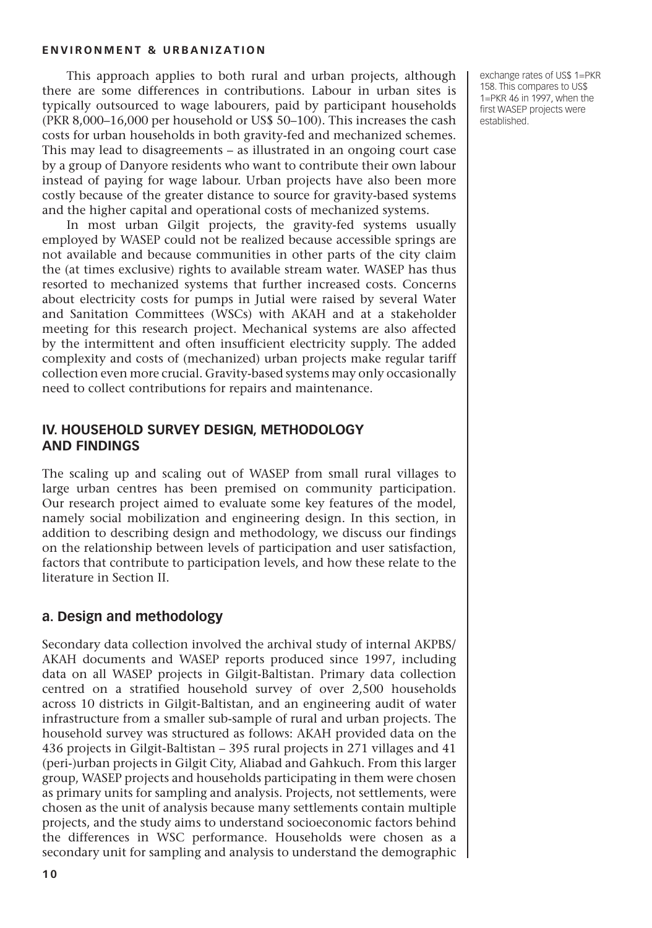This approach applies to both rural and urban projects, although there are some differences in contributions. Labour in urban sites is typically outsourced to wage labourers, paid by participant households (PKR 8,000–16,000 per household or US\$ 50–100). This increases the cash costs for urban households in both gravity-fed and mechanized schemes. This may lead to disagreements – as illustrated in an ongoing court case by a group of Danyore residents who want to contribute their own labour instead of paying for wage labour. Urban projects have also been more costly because of the greater distance to source for gravity-based systems and the higher capital and operational costs of mechanized systems.

In most urban Gilgit projects, the gravity-fed systems usually employed by WASEP could not be realized because accessible springs are not available and because communities in other parts of the city claim the (at times exclusive) rights to available stream water. WASEP has thus resorted to mechanized systems that further increased costs. Concerns about electricity costs for pumps in Jutial were raised by several Water and Sanitation Committees (WSCs) with AKAH and at a stakeholder meeting for this research project. Mechanical systems are also affected by the intermittent and often insufficient electricity supply. The added complexity and costs of (mechanized) urban projects make regular tariff collection even more crucial. Gravity-based systems may only occasionally need to collect contributions for repairs and maintenance.

#### **IV. Household Survey Design, Methodology and Findings**

The scaling up and scaling out of WASEP from small rural villages to large urban centres has been premised on community participation. Our research project aimed to evaluate some key features of the model, namely social mobilization and engineering design. In this section, in addition to describing design and methodology, we discuss our findings on the relationship between levels of participation and user satisfaction, factors that contribute to participation levels, and how these relate to the literature in Section II.

#### **a. Design and methodology**

Secondary data collection involved the archival study of internal AKPBS/ AKAH documents and WASEP reports produced since 1997, including data on all WASEP projects in Gilgit-Baltistan. Primary data collection centred on a stratified household survey of over 2,500 households across 10 districts in Gilgit-Baltistan, and an engineering audit of water infrastructure from a smaller sub-sample of rural and urban projects. The household survey was structured as follows: AKAH provided data on the 436 projects in Gilgit-Baltistan – 395 rural projects in 271 villages and 41 (peri-)urban projects in Gilgit City, Aliabad and Gahkuch. From this larger group, WASEP projects and households participating in them were chosen as primary units for sampling and analysis. Projects, not settlements, were chosen as the unit of analysis because many settlements contain multiple projects, and the study aims to understand socioeconomic factors behind the differences in WSC performance. Households were chosen as a secondary unit for sampling and analysis to understand the demographic exchange rates of US\$ 1=PKR 158. This compares to US\$ 1=PKR 46 in 1997, when the first WASEP projects were established.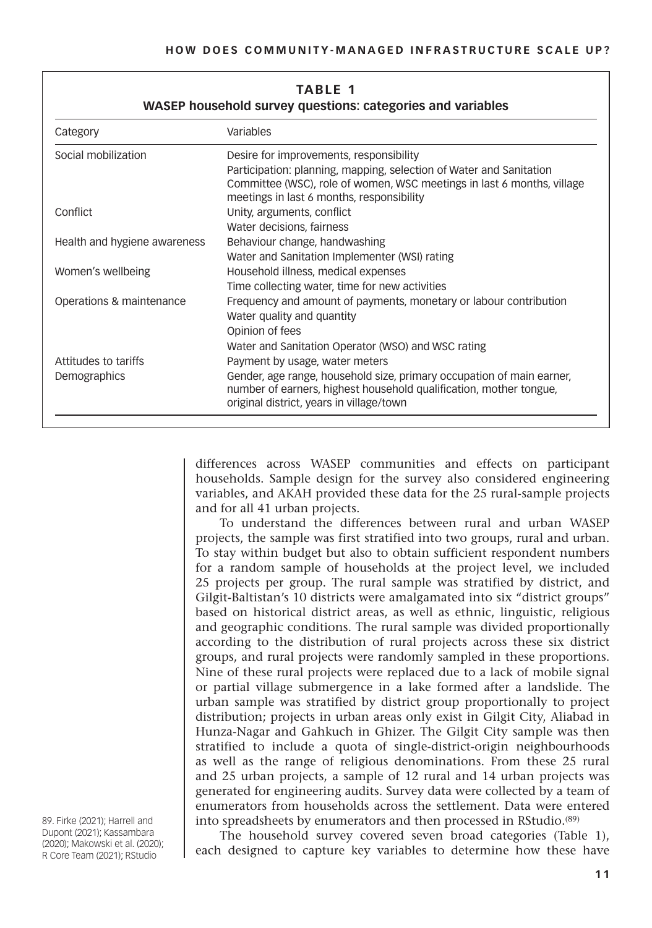| WASEP household survey questions: categories and variables |                                                                                                                                                                                            |  |  |  |
|------------------------------------------------------------|--------------------------------------------------------------------------------------------------------------------------------------------------------------------------------------------|--|--|--|
| Category                                                   | Variables                                                                                                                                                                                  |  |  |  |
| Social mobilization                                        | Desire for improvements, responsibility                                                                                                                                                    |  |  |  |
|                                                            | Participation: planning, mapping, selection of Water and Sanitation<br>Committee (WSC), role of women, WSC meetings in last 6 months, village<br>meetings in last 6 months, responsibility |  |  |  |
| Conflict                                                   | Unity, arguments, conflict                                                                                                                                                                 |  |  |  |
|                                                            | Water decisions, fairness                                                                                                                                                                  |  |  |  |
| Health and hygiene awareness                               | Behaviour change, handwashing                                                                                                                                                              |  |  |  |
|                                                            | Water and Sanitation Implementer (WSI) rating                                                                                                                                              |  |  |  |
| Women's wellbeing                                          | Household illness, medical expenses                                                                                                                                                        |  |  |  |
|                                                            | Time collecting water, time for new activities                                                                                                                                             |  |  |  |
| Operations & maintenance                                   | Frequency and amount of payments, monetary or labour contribution                                                                                                                          |  |  |  |
|                                                            | Water quality and quantity                                                                                                                                                                 |  |  |  |
|                                                            | Opinion of fees                                                                                                                                                                            |  |  |  |
|                                                            | Water and Sanitation Operator (WSO) and WSC rating                                                                                                                                         |  |  |  |
| Attitudes to tariffs                                       | Payment by usage, water meters                                                                                                                                                             |  |  |  |
| Demographics                                               | Gender, age range, household size, primary occupation of main earner,<br>number of earners, highest household qualification, mother tongue,<br>original district, years in village/town    |  |  |  |

# **Table 1**

differences across WASEP communities and effects on participant households. Sample design for the survey also considered engineering variables, and AKAH provided these data for the 25 rural-sample projects and for all 41 urban projects.

To understand the differences between rural and urban WASEP projects, the sample was first stratified into two groups, rural and urban. To stay within budget but also to obtain sufficient respondent numbers for a random sample of households at the project level, we included 25 projects per group. The rural sample was stratified by district, and Gilgit-Baltistan's 10 districts were amalgamated into six "district groups" based on historical district areas, as well as ethnic, linguistic, religious and geographic conditions. The rural sample was divided proportionally according to the distribution of rural projects across these six district groups, and rural projects were randomly sampled in these proportions. Nine of these rural projects were replaced due to a lack of mobile signal or partial village submergence in a lake formed after a landslide. The urban sample was stratified by district group proportionally to project distribution; projects in urban areas only exist in Gilgit City, Aliabad in Hunza-Nagar and Gahkuch in Ghizer. The Gilgit City sample was then stratified to include a quota of single-district-origin neighbourhoods as well as the range of religious denominations. From these 25 rural and 25 urban projects, a sample of 12 rural and 14 urban projects was generated for engineering audits. Survey data were collected by a team of enumerators from households across the settlement. Data were entered into spreadsheets by enumerators and then processed in RStudio.<sup>(89)</sup>

The household survey covered seven broad categories (Table 1), each designed to capture key variables to determine how these have

89. Firke (2021); Harrell and Dupont (2021); Kassambara (2020); Makowski et al. (2020); R Core Team (2021); RStudio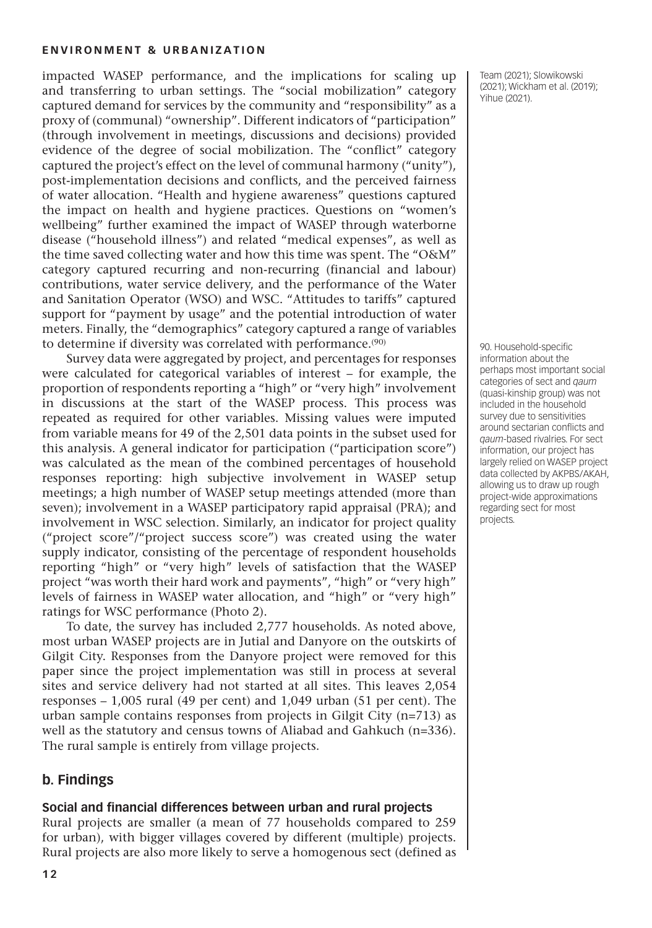impacted WASEP performance, and the implications for scaling up and transferring to urban settings. The "social mobilization" category captured demand for services by the community and "responsibility" as a proxy of (communal) "ownership". Different indicators of "participation" (through involvement in meetings, discussions and decisions) provided evidence of the degree of social mobilization. The "conflict" category captured the project's effect on the level of communal harmony ("unity"), post-implementation decisions and conflicts, and the perceived fairness of water allocation. "Health and hygiene awareness" questions captured the impact on health and hygiene practices. Questions on "women's wellbeing" further examined the impact of WASEP through waterborne disease ("household illness") and related "medical expenses", as well as the time saved collecting water and how this time was spent. The "O&M" category captured recurring and non-recurring (financial and labour) contributions, water service delivery, and the performance of the Water and Sanitation Operator (WSO) and WSC. "Attitudes to tariffs" captured support for "payment by usage" and the potential introduction of water meters. Finally, the "demographics" category captured a range of variables to determine if diversity was correlated with performance.<sup>(90)</sup>

Survey data were aggregated by project, and percentages for responses were calculated for categorical variables of interest – for example, the proportion of respondents reporting a "high" or "very high" involvement in discussions at the start of the WASEP process. This process was repeated as required for other variables. Missing values were imputed from variable means for 49 of the 2,501 data points in the subset used for this analysis. A general indicator for participation ("participation score") was calculated as the mean of the combined percentages of household responses reporting: high subjective involvement in WASEP setup meetings; a high number of WASEP setup meetings attended (more than seven); involvement in a WASEP participatory rapid appraisal (PRA); and involvement in WSC selection. Similarly, an indicator for project quality ("project score"/"project success score") was created using the water supply indicator, consisting of the percentage of respondent households reporting "high" or "very high" levels of satisfaction that the WASEP project "was worth their hard work and payments", "high" or "very high" levels of fairness in WASEP water allocation, and "high" or "very high" ratings for WSC performance (Photo 2).

To date, the survey has included 2,777 households. As noted above, most urban WASEP projects are in Jutial and Danyore on the outskirts of Gilgit City. Responses from the Danyore project were removed for this paper since the project implementation was still in process at several sites and service delivery had not started at all sites. This leaves 2,054 responses – 1,005 rural (49 per cent) and 1,049 urban (51 per cent). The urban sample contains responses from projects in Gilgit City (n=713) as well as the statutory and census towns of Aliabad and Gahkuch (n=336). The rural sample is entirely from village projects.

#### **b. Findings**

#### **Social and financial differences between urban and rural projects**

Rural projects are smaller (a mean of 77 households compared to 259 for urban), with bigger villages covered by different (multiple) projects. Rural projects are also more likely to serve a homogenous sect (defined as Team (2021); Slowikowski (2021); Wickham et al. (2019); Yihue (2021).

90. Household-specific information about the perhaps most important social categories of sect and *qaum* (quasi-kinship group) was not included in the household survey due to sensitivities around sectarian conflicts and *qaum*-based rivalries. For sect information, our project has largely relied on WASEP project data collected by AKPBS/AKAH, allowing us to draw up rough project-wide approximations regarding sect for most projects.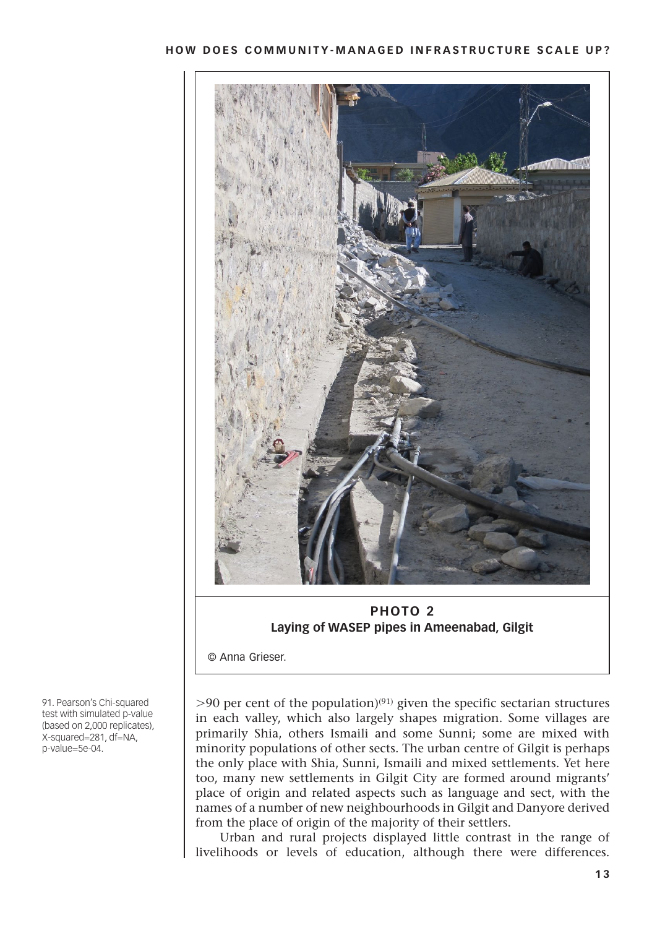

**PHOTO 2 Laying of WASEP pipes in Ameenabad, Gilgit**

© Anna Grieser.

 $>90$  per cent of the population)<sup>(91)</sup> given the specific sectarian structures in each valley, which also largely shapes migration. Some villages are primarily Shia, others Ismaili and some Sunni; some are mixed with minority populations of other sects. The urban centre of Gilgit is perhaps the only place with Shia, Sunni, Ismaili and mixed settlements. Yet here too, many new settlements in Gilgit City are formed around migrants' place of origin and related aspects such as language and sect, with the names of a number of new neighbourhoods in Gilgit and Danyore derived from the place of origin of the majority of their settlers.

Urban and rural projects displayed little contrast in the range of livelihoods or levels of education, although there were differences.

91. Pearson's Chi-squared test with simulated p-value (based on 2,000 replicates), X-squared=281, df=NA, p-value=5e-04.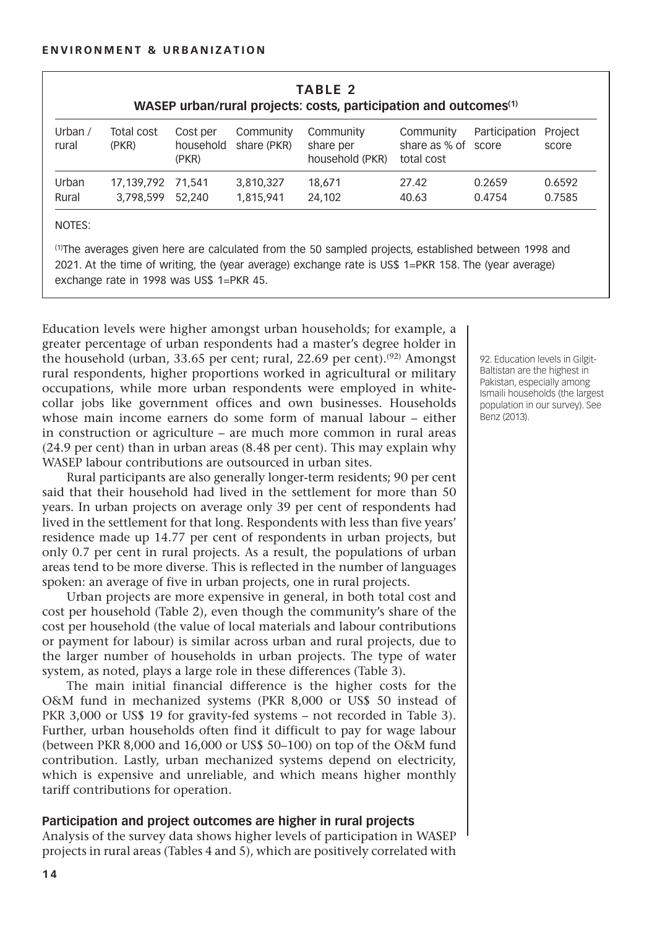| TABLE 2<br>WASEP urban/rural projects: costs, participation and outcomes <sup>(1)</sup> |                     |                                |                          |                                           |                                                |               |                  |
|-----------------------------------------------------------------------------------------|---------------------|--------------------------------|--------------------------|-------------------------------------------|------------------------------------------------|---------------|------------------|
| Urban $/$<br>rural                                                                      | Total cost<br>(PKR) | Cost per<br>household<br>(PKR) | Community<br>share (PKR) | Community<br>share per<br>household (PKR) | Community<br>share as % of score<br>total cost | Participation | Project<br>score |
| Urban                                                                                   | 17,139,792          | 71.541                         | 3,810,327                | 18.671                                    | 27.42                                          | 0.2659        | 0.6592           |
| Rural                                                                                   | 3.798.599           | 52,240                         | 1,815,941                | 24.102                                    | 40.63                                          | 0.4754        | 0.7585           |

(1)The averages given here are calculated from the 50 sampled projects, established between 1998 and 2021. At the time of writing, the (year average) exchange rate is US\$ 1=PKR 158. The (year average) exchange rate in 1998 was US\$ 1=PKR 45.

Education levels were higher amongst urban households; for example, a greater percentage of urban respondents had a master's degree holder in the household (urban, 33.65 per cent; rural, 22.69 per cent).<sup>(92)</sup> Amongst rural respondents, higher proportions worked in agricultural or military occupations, while more urban respondents were employed in whitecollar jobs like government offices and own businesses. Households whose main income earners do some form of manual labour – either in construction or agriculture – are much more common in rural areas (24.9 per cent) than in urban areas (8.48 per cent). This may explain why WASEP labour contributions are outsourced in urban sites.

Rural participants are also generally longer-term residents; 90 per cent said that their household had lived in the settlement for more than 50 years. In urban projects on average only 39 per cent of respondents had lived in the settlement for that long. Respondents with less than five years' residence made up 14.77 per cent of respondents in urban projects, but only 0.7 per cent in rural projects. As a result, the populations of urban areas tend to be more diverse. This is reflected in the number of languages spoken: an average of five in urban projects, one in rural projects.

Urban projects are more expensive in general, in both total cost and cost per household (Table 2), even though the community's share of the cost per household (the value of local materials and labour contributions or payment for labour) is similar across urban and rural projects, due to the larger number of households in urban projects. The type of water system, as noted, plays a large role in these differences (Table 3).

The main initial financial difference is the higher costs for the O&M fund in mechanized systems (PKR 8,000 or US\$ 50 instead of PKR 3,000 or US\$ 19 for gravity-fed systems – not recorded in Table 3). Further, urban households often find it difficult to pay for wage labour (between PKR 8,000 and 16,000 or US\$ 50–100) on top of the O&M fund contribution. Lastly, urban mechanized systems depend on electricity, which is expensive and unreliable, and which means higher monthly tariff contributions for operation.

#### **Participation and project outcomes are higher in rural projects**

Analysis of the survey data shows higher levels of participation in WASEP projects in rural areas (Tables 4 and 5), which are positively correlated with

92. Education levels in Gilgit-Baltistan are the highest in Pakistan, especially among Ismaili households (the largest population in our survey). See Benz (2013).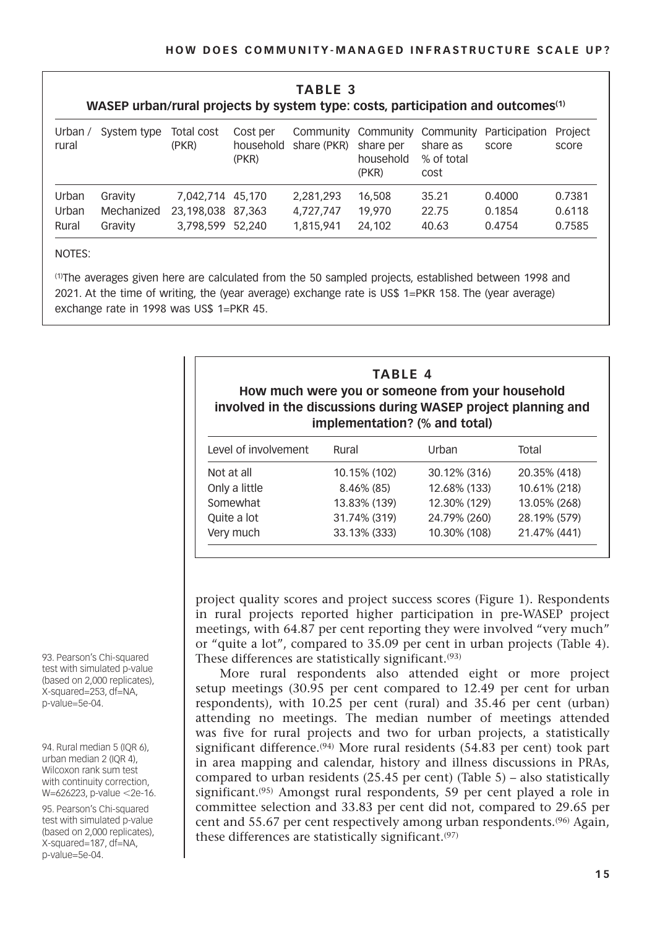| TABLE 3                                                                                     |
|---------------------------------------------------------------------------------------------|
| WASEP urban/rural projects by system type: costs, participation and outcomes <sup>(1)</sup> |

| Urban $/$<br>rural | System type | Total cost<br>(PKR) | Cost per<br>household<br>(PKR) | share (PKR) | share per<br>household<br>(PKR) | share as<br>% of total<br>cost | Community Community Community Participation<br>score | Project<br>score |
|--------------------|-------------|---------------------|--------------------------------|-------------|---------------------------------|--------------------------------|------------------------------------------------------|------------------|
| Urban              | Gravity     | 7.042.714 45.170    |                                | 2.281.293   | 16,508                          | 35.21                          | 0.4000                                               | 0.7381           |
| Urban              | Mechanized  | 23.198.038 87.363   |                                | 4.727.747   | 19.970                          | 22.75                          | 0.1854                                               | 0.6118           |
| Rural              | Gravity     | 3.798.599 52.240    |                                | 1.815.941   | 24.102                          | 40.63                          | 0.4754                                               | 0.7585           |

#### NOTES:

(1)The averages given here are calculated from the 50 sampled projects, established between 1998 and 2021. At the time of writing, the (year average) exchange rate is US\$ 1=PKR 158. The (year average) exchange rate in 1998 was US\$ 1=PKR 45.

| <b>TABLE 4</b><br>How much were you or someone from your household<br>involved in the discussions during WASEP project planning and<br>implementation? (% and total) |              |              |              |  |  |
|----------------------------------------------------------------------------------------------------------------------------------------------------------------------|--------------|--------------|--------------|--|--|
| Level of involvement                                                                                                                                                 | Rural        | Urban        | Total        |  |  |
| Not at all                                                                                                                                                           | 10.15% (102) | 30.12% (316) | 20.35% (418) |  |  |
| Only a little                                                                                                                                                        | 8.46% (85)   | 12.68% (133) | 10.61% (218) |  |  |
| Somewhat                                                                                                                                                             | 13.83% (139) | 12.30% (129) | 13.05% (268) |  |  |
| Quite a lot                                                                                                                                                          | 31.74% (319) | 24.79% (260) | 28.19% (579) |  |  |
| Very much                                                                                                                                                            | 33.13% (333) | 10.30% (108) | 21.47% (441) |  |  |

project quality scores and project success scores (Figure 1). Respondents in rural projects reported higher participation in pre-WASEP project meetings, with 64.87 per cent reporting they were involved "very much" or "quite a lot", compared to 35.09 per cent in urban projects (Table 4). These differences are statistically significant.(93)

More rural respondents also attended eight or more project setup meetings (30.95 per cent compared to 12.49 per cent for urban respondents), with 10.25 per cent (rural) and 35.46 per cent (urban) attending no meetings. The median number of meetings attended was five for rural projects and two for urban projects, a statistically significant difference.<sup>(94)</sup> More rural residents (54.83 per cent) took part in area mapping and calendar, history and illness discussions in PRAs, compared to urban residents (25.45 per cent) (Table 5) – also statistically significant.<sup> $(95)$ </sup> Amongst rural respondents, 59 per cent played a role in committee selection and 33.83 per cent did not, compared to 29.65 per cent and 55.67 per cent respectively among urban respondents.(96) Again, these differences are statistically significant.(97)

93. Pearson's Chi-squared test with simulated p-value (based on 2,000 replicates), X-squared=253, df=NA, p-value=5e-04.

94. Rural median 5 (IQR 6), urban median 2 (IQR 4), Wilcoxon rank sum test with continuity correction, W=626223, p-value <2e-16.

95. Pearson's Chi-squared test with simulated p-value (based on 2,000 replicates), X-squared=187, df=NA, p-value=5e-04.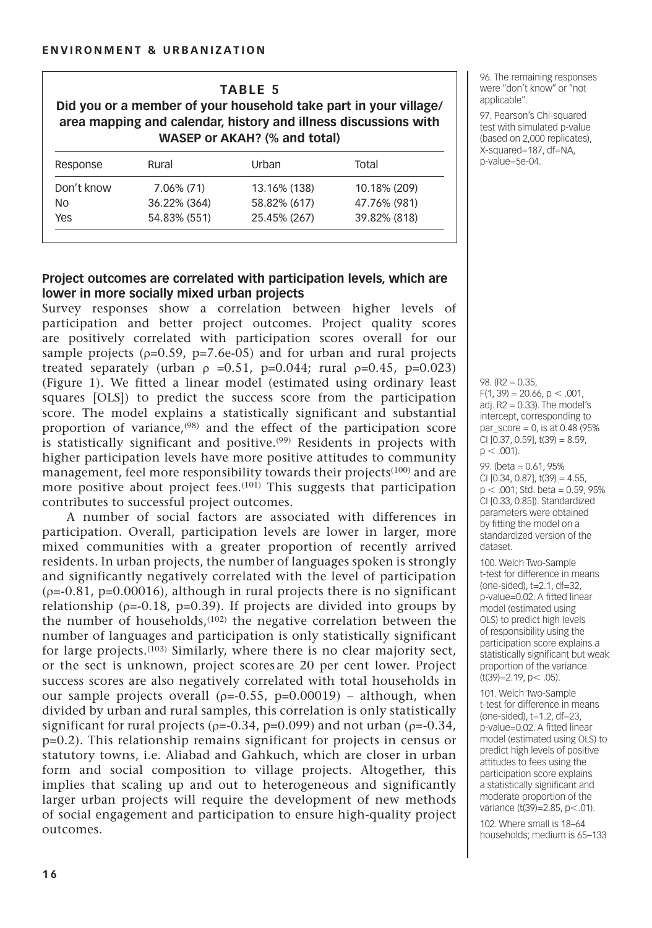| <b>TABLE 5</b><br>Did you or a member of your household take part in your village/<br>area mapping and calendar, history and illness discussions with<br>WASEP or AKAH? (% and total) |               |              |              |  |  |  |
|---------------------------------------------------------------------------------------------------------------------------------------------------------------------------------------|---------------|--------------|--------------|--|--|--|
| Response                                                                                                                                                                              | Rural         | Urban        | Total        |  |  |  |
| Don't know                                                                                                                                                                            | $7.06\%$ (71) | 13.16% (138) | 10.18% (209) |  |  |  |
| NΩ                                                                                                                                                                                    | 36.22% (364)  | 58.82% (617) | 47.76% (981) |  |  |  |
| Yes                                                                                                                                                                                   | 54.83% (551)  | 25.45% (267) | 39.82% (818) |  |  |  |

96. The remaining responses were "don't know" or "not applicable".

97. Pearson's Chi-squared test with simulated p-value (based on 2,000 replicates), X-squared=187, df=NA, p-value=5e-04.

#### **Project outcomes are correlated with participation levels, which are lower in more socially mixed urban projects**

Survey responses show a correlation between higher levels of participation and better project outcomes. Project quality scores are positively correlated with participation scores overall for our sample projects  $(\rho=0.59, p=7.6e-05)$  and for urban and rural projects treated separately (urban  $\rho = 0.51$ , p=0.044; rural  $\rho = 0.45$ , p=0.023) (Figure 1). We fitted a linear model (estimated using ordinary least squares [OLS]) to predict the success score from the participation score. The model explains a statistically significant and substantial proportion of variance,(98) and the effect of the participation score is statistically significant and positive.<sup>(99)</sup> Residents in projects with higher participation levels have more positive attitudes to community management, feel more responsibility towards their projects(100) and are more positive about project fees.<sup>(101)</sup> This suggests that participation contributes to successful project outcomes.

A number of social factors are associated with differences in participation. Overall, participation levels are lower in larger, more mixed communities with a greater proportion of recently arrived residents. In urban projects, the number of languages spoken is strongly and significantly negatively correlated with the level of participation  $(p=0.81, p=0.00016)$ , although in rural projects there is no significant relationship ( $\rho$ =-0.18, p=0.39). If projects are divided into groups by the number of households,(102) the negative correlation between the number of languages and participation is only statistically significant for large projects.(103) Similarly, where there is no clear majority sect, or the sect is unknown, project scores are 20 per cent lower. Project success scores are also negatively correlated with total households in our sample projects overall ( $p=0.55$ ,  $p=0.00019$ ) – although, when divided by urban and rural samples, this correlation is only statistically significant for rural projects ( $\rho$ =-0.34, p=0.099) and not urban ( $\rho$ =-0.34, p=0.2). This relationship remains significant for projects in census or statutory towns, i.e. Aliabad and Gahkuch, which are closer in urban form and social composition to village projects. Altogether, this implies that scaling up and out to heterogeneous and significantly larger urban projects will require the development of new methods of social engagement and participation to ensure high-quality project outcomes.

98.  $(R2 = 0.35)$  $F(1, 39) = 20.66$ ,  $p < .001$ , adj.  $R2 = 0.33$ ). The model's intercept, corresponding to par  $score = 0$ , is at 0.48 (95%)  $CI [0.37, 0.59], t(39) = 8.59,$  $p < .001$ ).

99. (beta = 0.61, 95% CI  $[0.34, 0.87]$ ,  $t(39) = 4.55$ ,  $p < .001$ ; Std. beta = 0.59, 95% CI [0.33, 0.85]). Standardized parameters were obtained by fitting the model on a standardized version of the dataset.

100. Welch Two-Sample t-test for difference in means (one-sided), t=2.1, df=32, p-value=0.02. A fitted linear model (estimated using OLS) to predict high levels of responsibility using the participation score explains a statistically significant but weak proportion of the variance (t(39)=2.19, p< .05).

101. Welch Two-Sample t-test for difference in means (one-sided), t=1.2, df=23, p-value=0.02. A fitted linear model (estimated using OLS) to predict high levels of positive attitudes to fees using the participation score explains a statistically significant and moderate proportion of the variance (t(39)=2.85, p<.01).

102. Where small is 18–64 households; medium is 65–133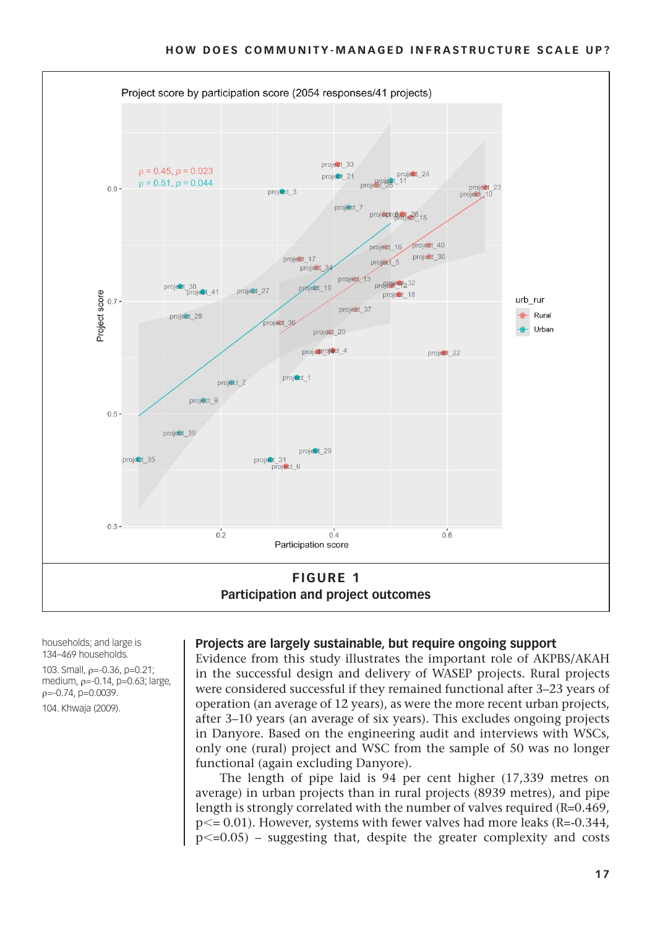

households; and large is 134–469 households.

103. Small, ρ=-0.36, p=0.21; medium, ρ=-0.14, p=0.63; large,  $p = -0.74$ ,  $p = 0.0039$ .

104. Khwaja (2009).

#### **Projects are largely sustainable, but require ongoing support**

Evidence from this study illustrates the important role of AKPBS/AKAH in the successful design and delivery of WASEP projects. Rural projects were considered successful if they remained functional after 3–23 years of operation (an average of 12 years), as were the more recent urban projects, after 3–10 years (an average of six years). This excludes ongoing projects in Danyore. Based on the engineering audit and interviews with WSCs, only one (rural) project and WSC from the sample of 50 was no longer functional (again excluding Danyore).

The length of pipe laid is 94 per cent higher (17,339 metres on average) in urban projects than in rural projects (8939 metres), and pipe length is strongly correlated with the number of valves required (R=0.469, p<= 0.01). However, systems with fewer valves had more leaks (R=-0.344,  $p\leq0.05$  – suggesting that, despite the greater complexity and costs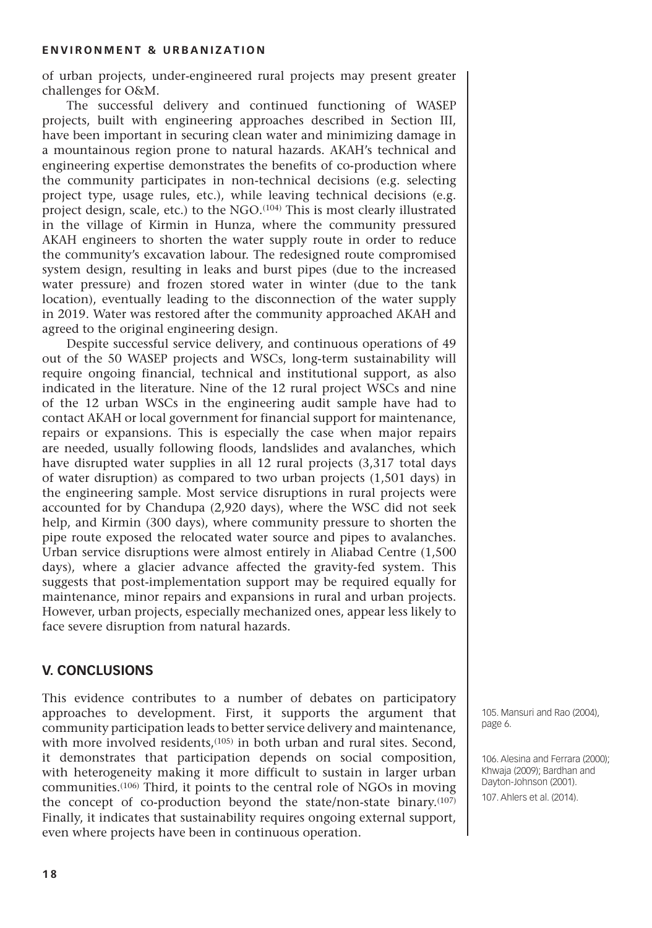of urban projects, under-engineered rural projects may present greater challenges for O&M.

The successful delivery and continued functioning of WASEP projects, built with engineering approaches described in Section III, have been important in securing clean water and minimizing damage in a mountainous region prone to natural hazards. AKAH's technical and engineering expertise demonstrates the benefits of co-production where the community participates in non-technical decisions (e.g. selecting project type, usage rules, etc.), while leaving technical decisions (e.g. project design, scale, etc.) to the NGO.(104) This is most clearly illustrated in the village of Kirmin in Hunza, where the community pressured AKAH engineers to shorten the water supply route in order to reduce the community's excavation labour. The redesigned route compromised system design, resulting in leaks and burst pipes (due to the increased water pressure) and frozen stored water in winter (due to the tank location), eventually leading to the disconnection of the water supply in 2019. Water was restored after the community approached AKAH and agreed to the original engineering design.

Despite successful service delivery, and continuous operations of 49 out of the 50 WASEP projects and WSCs, long-term sustainability will require ongoing financial, technical and institutional support, as also indicated in the literature. Nine of the 12 rural project WSCs and nine of the 12 urban WSCs in the engineering audit sample have had to contact AKAH or local government for financial support for maintenance, repairs or expansions. This is especially the case when major repairs are needed, usually following floods, landslides and avalanches, which have disrupted water supplies in all 12 rural projects (3,317 total days of water disruption) as compared to two urban projects (1,501 days) in the engineering sample. Most service disruptions in rural projects were accounted for by Chandupa (2,920 days), where the WSC did not seek help, and Kirmin (300 days), where community pressure to shorten the pipe route exposed the relocated water source and pipes to avalanches. Urban service disruptions were almost entirely in Aliabad Centre (1,500 days), where a glacier advance affected the gravity-fed system. This suggests that post-implementation support may be required equally for maintenance, minor repairs and expansions in rural and urban projects. However, urban projects, especially mechanized ones, appear less likely to face severe disruption from natural hazards.

#### **V. Conclusions**

This evidence contributes to a number of debates on participatory approaches to development. First, it supports the argument that community participation leads to better service delivery and maintenance, with more involved residents,<sup>(105)</sup> in both urban and rural sites. Second, it demonstrates that participation depends on social composition, with heterogeneity making it more difficult to sustain in larger urban communities.(106) Third, it points to the central role of NGOs in moving the concept of co-production beyond the state/non-state binary.(107) Finally, it indicates that sustainability requires ongoing external support, even where projects have been in continuous operation.

105. Mansuri and Rao (2004), page 6.

106. Alesina and Ferrara (2000); Khwaja (2009); Bardhan and Dayton-Johnson (2001).

107. Ahlers et al. (2014).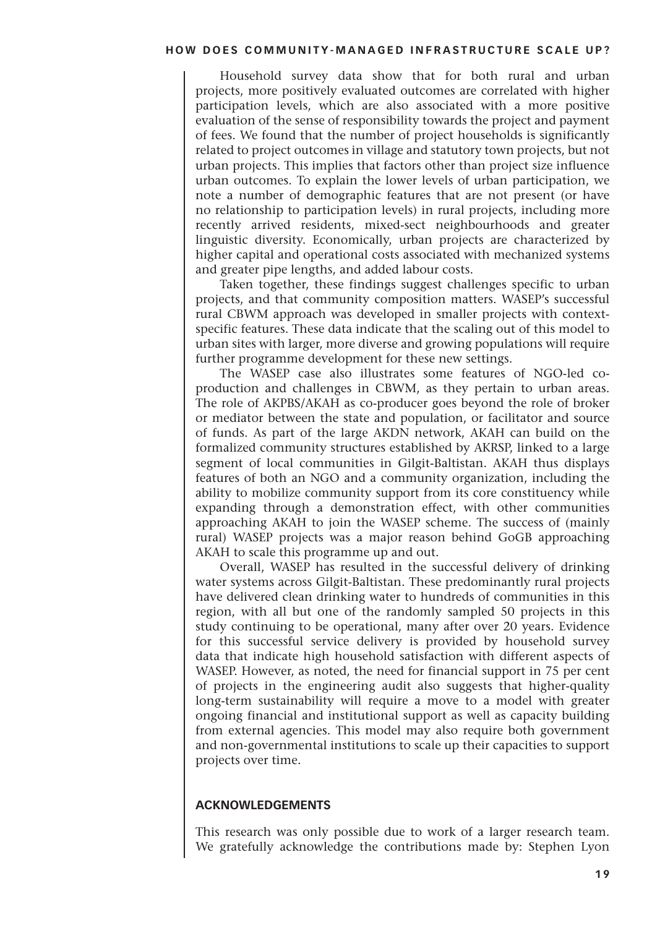Household survey data show that for both rural and urban projects, more positively evaluated outcomes are correlated with higher participation levels, which are also associated with a more positive evaluation of the sense of responsibility towards the project and payment of fees. We found that the number of project households is significantly related to project outcomes in village and statutory town projects, but not urban projects. This implies that factors other than project size influence urban outcomes. To explain the lower levels of urban participation, we note a number of demographic features that are not present (or have no relationship to participation levels) in rural projects, including more recently arrived residents, mixed-sect neighbourhoods and greater linguistic diversity. Economically, urban projects are characterized by higher capital and operational costs associated with mechanized systems and greater pipe lengths, and added labour costs.

Taken together, these findings suggest challenges specific to urban projects, and that community composition matters. WASEP's successful rural CBWM approach was developed in smaller projects with contextspecific features. These data indicate that the scaling out of this model to urban sites with larger, more diverse and growing populations will require further programme development for these new settings.

The WASEP case also illustrates some features of NGO-led coproduction and challenges in CBWM, as they pertain to urban areas. The role of AKPBS/AKAH as co-producer goes beyond the role of broker or mediator between the state and population, or facilitator and source of funds. As part of the large AKDN network, AKAH can build on the formalized community structures established by AKRSP, linked to a large segment of local communities in Gilgit-Baltistan. AKAH thus displays features of both an NGO and a community organization, including the ability to mobilize community support from its core constituency while expanding through a demonstration effect, with other communities approaching AKAH to join the WASEP scheme. The success of (mainly rural) WASEP projects was a major reason behind GoGB approaching AKAH to scale this programme up and out.

Overall, WASEP has resulted in the successful delivery of drinking water systems across Gilgit-Baltistan. These predominantly rural projects have delivered clean drinking water to hundreds of communities in this region, with all but one of the randomly sampled 50 projects in this study continuing to be operational, many after over 20 years. Evidence for this successful service delivery is provided by household survey data that indicate high household satisfaction with different aspects of WASEP. However, as noted, the need for financial support in 75 per cent of projects in the engineering audit also suggests that higher-quality long-term sustainability will require a move to a model with greater ongoing financial and institutional support as well as capacity building from external agencies. This model may also require both government and non-governmental institutions to scale up their capacities to support projects over time.

#### **Acknowledgements**

This research was only possible due to work of a larger research team. We gratefully acknowledge the contributions made by: Stephen Lyon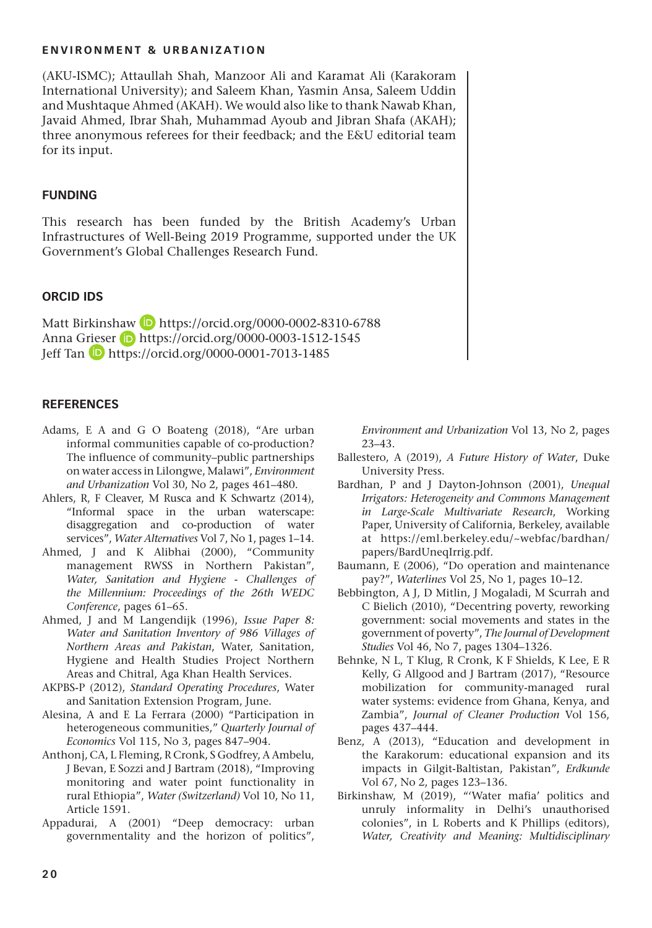(AKU-ISMC); Attaullah Shah, Manzoor Ali and Karamat Ali (Karakoram International University); and Saleem Khan, Yasmin Ansa, Saleem Uddin and Mushtaque Ahmed (AKAH). We would also like to thank Nawab Khan, Javaid Ahmed, Ibrar Shah, Muhammad Ayoub and Jibran Shafa (AKAH); three anonymous referees for their feedback; and the E&U editorial team for its input.

#### **Funding**

This research has been funded by the British Academy's Urban Infrastructures of Well-Being 2019 Programme, supported under the UK Government's Global Challenges Research Fund.

#### **ORCID iDs**

Matt Birkinshaw **b** <https://orcid.org/0000-0002-8310-6788> Anna Grieser (D <https://orcid.org/0000-0003-1512-1545> Jeff Tan **D** <https://orcid.org/0000-0001-7013-1485>

#### **References**

- Adams, E A and G O Boateng (2018), "Are urban informal communities capable of co-production? The influence of community–public partnerships on water access in Lilongwe, Malawi", *Environment and Urbanization* Vol 30, No 2, pages 461–480.
- Ahlers, R, F Cleaver, M Rusca and K Schwartz (2014), "Informal space in the urban waterscape: disaggregation and co-production of water services", *Water Alternatives* Vol 7, No 1, pages 1–14.
- Ahmed, J and K Alibhai (2000), "Community management RWSS in Northern Pakistan", *Water, Sanitation and Hygiene - Challenges of the Millennium: Proceedings of the 26th WEDC Conference*, pages 61–65.
- Ahmed, J and M Langendijk (1996), *Issue Paper 8: Water and Sanitation Inventory of 986 Villages of Northern Areas and Pakistan*, Water, Sanitation, Hygiene and Health Studies Project Northern Areas and Chitral, Aga Khan Health Services.
- AKPBS-P (2012), *Standard Operating Procedures*, Water and Sanitation Extension Program, June.
- Alesina, A and E La Ferrara (2000) "Participation in heterogeneous communities," *Quarterly Journal of Economics* Vol 115, No 3, pages 847–904.
- Anthonj, CA, L Fleming, R Cronk, S Godfrey, A Ambelu, J Bevan, E Sozzi and J Bartram (2018), "Improving monitoring and water point functionality in rural Ethiopia", *Water (Switzerland)* Vol 10, No 11, Article 1591.
- Appadurai, A (2001) "Deep democracy: urban governmentality and the horizon of politics",

*Environment and Urbanization* Vol 13, No 2, pages 23–43.

- Ballestero, A (2019), *A Future History of Water*, Duke University Press.
- Bardhan, P and J Dayton-Johnson (2001), *Unequal Irrigators: Heterogeneity and Commons Management in Large-Scale Multivariate Research*, Working Paper, University of California, Berkeley, available at [https://eml.berkeley.edu/~webfac/bardhan/](https://eml.berkeley.edu/~webfac/bardhan/papers/BardUneqIrrig.pdf) [papers/BardUneqIrrig.pdf](https://eml.berkeley.edu/~webfac/bardhan/papers/BardUneqIrrig.pdf).
- Baumann, E (2006), "Do operation and maintenance pay?", *Waterlines* Vol 25, No 1, pages 10–12.
- Bebbington, A J, D Mitlin, J Mogaladi, M Scurrah and C Bielich (2010), "Decentring poverty, reworking government: social movements and states in the government of poverty", *The Journal of Development Studies* Vol 46, No 7, pages 1304–1326.
- Behnke, N L, T Klug, R Cronk, K F Shields, K Lee, E R Kelly, G Allgood and J Bartram (2017), "Resource mobilization for community-managed rural water systems: evidence from Ghana, Kenya, and Zambia", *Journal of Cleaner Production* Vol 156, pages 437–444.
- Benz, A (2013), "Education and development in the Karakorum: educational expansion and its impacts in Gilgit-Baltistan, Pakistan", *Erdkunde* Vol 67, No 2, pages 123–136.
- Birkinshaw, M (2019), "'Water mafia' politics and unruly informality in Delhi's unauthorised colonies", in L Roberts and K Phillips (editors), *Water, Creativity and Meaning: Multidisciplinary*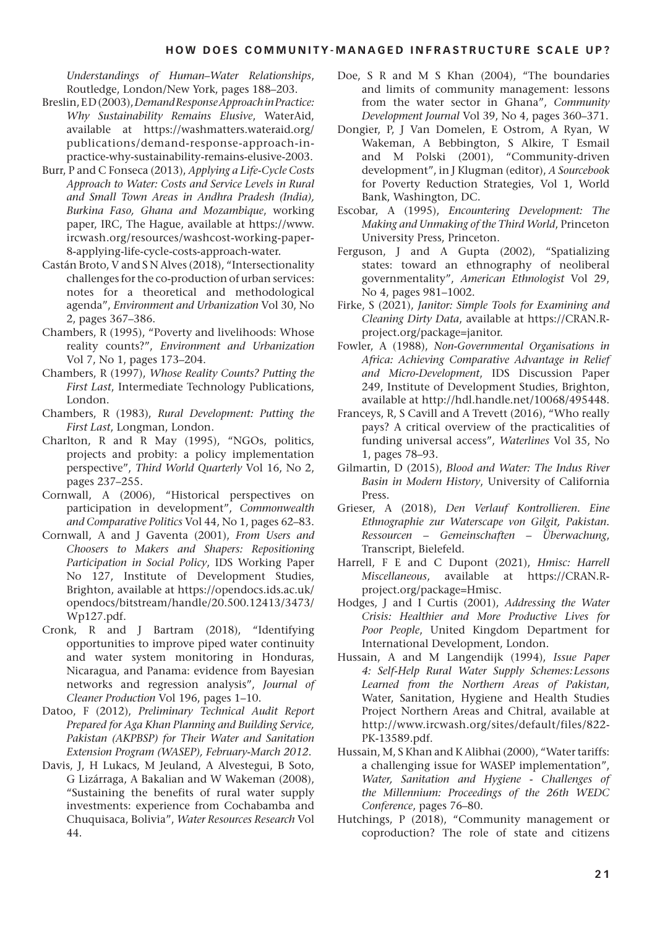*Understandings of Human–Water Relationships*, Routledge, London/New York, pages 188–203.

- Breslin, E D (2003), *Demand Response Approach in Practice: Why Sustainability Remains Elusive*, WaterAid, available at [https://washmatters.wateraid.org/](https://washmatters.wateraid.org/publications/demand-response-approach-in-practice-why-sustainability-remains-elusive-2003) [publications/demand-response-approach-in](https://washmatters.wateraid.org/publications/demand-response-approach-in-practice-why-sustainability-remains-elusive-2003)[practice-why-sustainability-remains-elusive-2003](https://washmatters.wateraid.org/publications/demand-response-approach-in-practice-why-sustainability-remains-elusive-2003).
- Burr, P and C Fonseca (2013), *Applying a Life-Cycle Costs Approach to Water: Costs and Service Levels in Rural and Small Town Areas in Andhra Pradesh (India), Burkina Faso, Ghana and Mozambique*, working paper, IRC, The Hague, available at [https://www.](https://www.ircwash.org/resources/washcost-working-paper-8-applying-life-cycle-costs-approach-water) [ircwash.org/resources/washcost-working-paper-](https://www.ircwash.org/resources/washcost-working-paper-8-applying-life-cycle-costs-approach-water)[8-applying-life-cycle-costs-approach-water.](https://www.ircwash.org/resources/washcost-working-paper-8-applying-life-cycle-costs-approach-water)
- Castán Broto, V and S N Alves (2018), "Intersectionality challenges for the co-production of urban services: notes for a theoretical and methodological agenda", *Environment and Urbanization* Vol 30, No 2, pages 367–386.
- Chambers, R (1995), "Poverty and livelihoods: Whose reality counts?", *Environment and Urbanization* Vol 7, No 1, pages 173–204.
- Chambers, R (1997), *Whose Reality Counts? Putting the First Last*, Intermediate Technology Publications, London.
- Chambers, R (1983), *Rural Development: Putting the First Last*, Longman, London.
- Charlton, R and R May (1995), "NGOs, politics, projects and probity: a policy implementation perspective", *Third World Quarterly* Vol 16, No 2, pages 237–255.
- Cornwall, A (2006), "Historical perspectives on participation in development", *Commonwealth and Comparative Politics* Vol 44, No 1, pages 62–83.
- Cornwall, A and J Gaventa (2001), *From Users and Choosers to Makers and Shapers: Repositioning Participation in Social Policy*, IDS Working Paper No 127, Institute of Development Studies, Brighton, available at [https://opendocs.ids.ac.uk/](https://opendocs.ids.ac.uk/opendocs/bitstream/handle/20.500.12413/3473/Wp127.pdf) [opendocs/bitstream/handle/20.500.12413/3473/](https://opendocs.ids.ac.uk/opendocs/bitstream/handle/20.500.12413/3473/Wp127.pdf) [Wp127.pdf](https://opendocs.ids.ac.uk/opendocs/bitstream/handle/20.500.12413/3473/Wp127.pdf).
- Cronk, R and J Bartram (2018), "Identifying opportunities to improve piped water continuity and water system monitoring in Honduras, Nicaragua, and Panama: evidence from Bayesian networks and regression analysis", *Journal of Cleaner Production* Vol 196, pages 1–10.
- Datoo, F (2012), *Preliminary Technical Audit Report Prepared for Aga Khan Planning and Building Service, Pakistan (AKPBSP) for Their Water and Sanitation Extension Program (WASEP), February-March 2012*.
- Davis, J, H Lukacs, M Jeuland, A Alvestegui, B Soto, G Lizárraga, A Bakalian and W Wakeman (2008), "Sustaining the benefits of rural water supply investments: experience from Cochabamba and Chuquisaca, Bolivia", *Water Resources Research* Vol 44.
- Doe, S R and M S Khan (2004), "The boundaries and limits of community management: lessons from the water sector in Ghana", *Community Development Journal* Vol 39, No 4, pages 360–371.
- Dongier, P, J Van Domelen, E Ostrom, A Ryan, W Wakeman, A Bebbington, S Alkire, T Esmail and M Polski (2001), "Community-driven development", in J Klugman (editor), *A Sourcebook* for Poverty Reduction Strategies, Vol 1, World Bank, Washington, DC.
- Escobar, A (1995), *Encountering Development: The Making and Unmaking of the Third World*, Princeton University Press, Princeton.
- Ferguson, J and A Gupta (2002), "Spatializing states: toward an ethnography of neoliberal governmentality", *American Ethnologist* Vol 29, No 4, pages 981–1002.
- Firke, S (2021), *Janitor: Simple Tools for Examining and Cleaning Dirty Data*, available at [https://CRAN.R](https://CRAN.R-project.org/package=janitor)[project.org/package=janitor.](https://CRAN.R-project.org/package=janitor)
- Fowler, A (1988), *Non-Governmental Organisations in Africa: Achieving Comparative Advantage in Relief and Micro-Development*, IDS Discussion Paper 249, Institute of Development Studies, Brighton, available at <http://hdl.handle.net/10068/495448>.
- Franceys, R, S Cavill and A Trevett (2016), "Who really pays? A critical overview of the practicalities of funding universal access", *Waterlines* Vol 35, No 1, pages 78–93.
- Gilmartin, D (2015), *Blood and Water: The Indus River Basin in Modern History*, University of California Press.
- Grieser, A (2018), *Den Verlauf Kontrollieren. Eine Ethnographie zur Waterscape von Gilgit, Pakistan. Ressourcen – Gemeinschaften – Überwachung*, Transcript, Bielefeld.
- Harrell, F E and C Dupont (2021), *Hmisc: Harrell Miscellaneous*, available at [https://CRAN.R](https://CRAN.R-project.org/package=Hmisc)[project.org/package=Hmisc.](https://CRAN.R-project.org/package=Hmisc)
- Hodges, J and I Curtis (2001), *Addressing the Water Crisis: Healthier and More Productive Lives for Poor People*, United Kingdom Department for International Development, London.
- Hussain, A and M Langendijk (1994), *Issue Paper 4: Self-Help Rural Water Supply Schemes:Lessons Learned from the Northern Areas of Pakistan*, Water, Sanitation, Hygiene and Health Studies Project Northern Areas and Chitral, available at [http://www.ircwash.org/sites/default/files/822-](http://www.ircwash.org/sites/default/files/822-PK-13589.pdf) [PK-13589.pdf.](http://www.ircwash.org/sites/default/files/822-PK-13589.pdf)
- Hussain, M, S Khan and K Alibhai (2000), "Water tariffs: a challenging issue for WASEP implementation", *Water, Sanitation and Hygiene - Challenges of the Millennium: Proceedings of the 26th WEDC Conference*, pages 76–80.
- Hutchings, P (2018), "Community management or coproduction? The role of state and citizens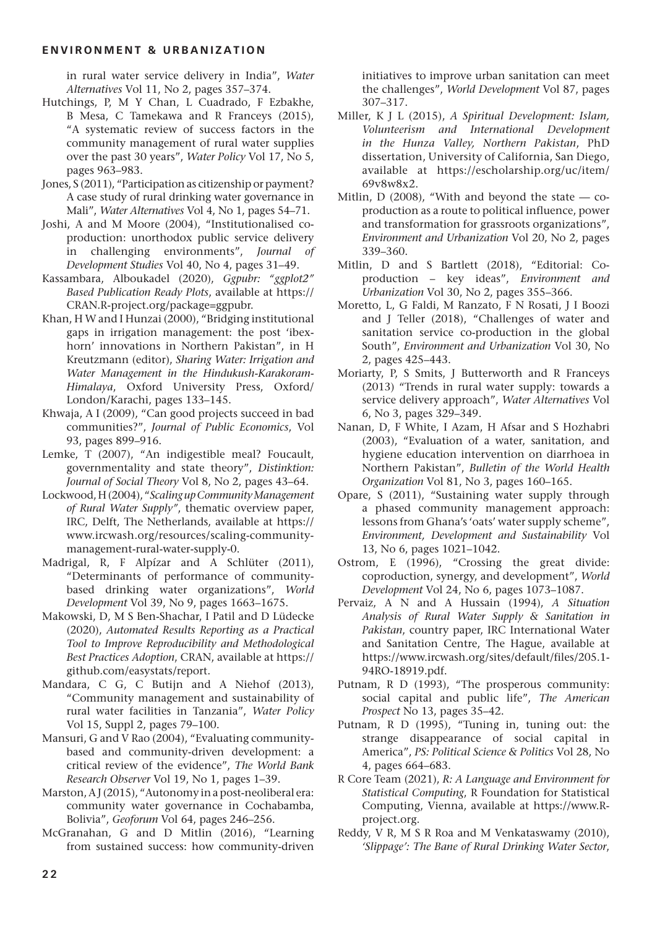in rural water service delivery in India", *Water Alternatives* Vol 11, No 2, pages 357–374.

- Hutchings, P, M Y Chan, L Cuadrado, F Ezbakhe, B Mesa, C Tamekawa and R Franceys (2015), "A systematic review of success factors in the community management of rural water supplies over the past 30 years", *Water Policy* Vol 17, No 5, pages 963–983.
- Jones, S (2011), "Participation as citizenship or payment? A case study of rural drinking water governance in Mali", *Water Alternatives* Vol 4, No 1, pages 54–71.
- Joshi, A and M Moore (2004), "Institutionalised coproduction: unorthodox public service delivery in challenging environments", *Journal of Development Studies* Vol 40, No 4, pages 31–49.
- Kassambara, Alboukadel (2020), *Ggpubr: "ggplot2" Based Publication Ready Plots*, available at [https://](https://CRAN.R-project.org/package=ggpubr) [CRAN.R-project.org/package=ggpubr](https://CRAN.R-project.org/package=ggpubr).
- Khan, H W and I Hunzai (2000), "Bridging institutional gaps in irrigation management: the post 'ibexhorn' innovations in Northern Pakistan", in H Kreutzmann (editor), *Sharing Water: Irrigation and Water Management in the Hindukush-Karakoram-Himalaya*, Oxford University Press, Oxford/ London/Karachi, pages 133–145.
- Khwaja, A I (2009), "Can good projects succeed in bad communities?", *Journal of Public Economics*, Vol 93, pages 899–916.
- Lemke, T (2007), "An indigestible meal? Foucault, governmentality and state theory", *Distinktion: Journal of Social Theory* Vol 8, No 2, pages 43–64.
- Lockwood, H (2004), "*Scaling up Community Management of Rural Water Supply"*, thematic overview paper, IRC, Delft, The Netherlands, available at [https://](https://www.ircwash.org/resources/scaling-community-management-rural-water-supply-0) [www.ircwash.org/resources/scaling-community](https://www.ircwash.org/resources/scaling-community-management-rural-water-supply-0)[management-rural-water-supply-0.](https://www.ircwash.org/resources/scaling-community-management-rural-water-supply-0)
- Madrigal, R, F Alpízar and A Schlüter (2011), "Determinants of performance of communitybased drinking water organizations", *World Development* Vol 39, No 9, pages 1663–1675.
- Makowski, D, M S Ben-Shachar, I Patil and D Lüdecke (2020), *Automated Results Reporting as a Practical Tool to Improve Reproducibility and Methodological Best Practices Adoption*, CRAN, available at [https://](https://github.com/easystats/report) [github.com/easystats/report](https://github.com/easystats/report).
- Mandara, C G, C Butijn and A Niehof (2013), "Community management and sustainability of rural water facilities in Tanzania", *Water Policy* Vol 15, Suppl 2, pages 79–100.
- Mansuri, G and V Rao (2004), "Evaluating communitybased and community-driven development: a critical review of the evidence", *The World Bank Research Observer* Vol 19, No 1, pages 1–39.
- Marston, AJ (2015), "Autonomy in a post-neoliberal era: community water governance in Cochabamba, Bolivia", *Geoforum* Vol 64, pages 246–256.
- McGranahan, G and D Mitlin (2016), "Learning from sustained success: how community-driven

initiatives to improve urban sanitation can meet the challenges", *World Development* Vol 87, pages 307–317.

- Miller, K J L (2015), *A Spiritual Development: Islam, Volunteerism and International Development in the Hunza Valley, Northern Pakistan*, PhD dissertation, University of California, San Diego, available at [https://escholarship.org/uc/item/](https://escholarship.org/uc/item/69v8w8x2) [69v8w8x2](https://escholarship.org/uc/item/69v8w8x2).
- Mitlin, D (2008), "With and beyond the state  $-$  coproduction as a route to political influence, power and transformation for grassroots organizations", *Environment and Urbanization* Vol 20, No 2, pages 339–360.
- Mitlin, D and S Bartlett (2018), "Editorial: Coproduction – key ideas", *Environment and Urbanization* Vol 30, No 2, pages 355–366.
- Moretto, L, G Faldi, M Ranzato, F N Rosati, J I Boozi and J Teller (2018), "Challenges of water and sanitation service co-production in the global South", *Environment and Urbanization* Vol 30, No 2, pages 425–443.
- Moriarty, P, S Smits, J Butterworth and R Franceys (2013) "Trends in rural water supply: towards a service delivery approach", *Water Alternatives* Vol 6, No 3, pages 329–349.
- Nanan, D, F White, I Azam, H Afsar and S Hozhabri (2003), "Evaluation of a water, sanitation, and hygiene education intervention on diarrhoea in Northern Pakistan", *Bulletin of the World Health Organization* Vol 81, No 3, pages 160–165.
- Opare, S (2011), "Sustaining water supply through a phased community management approach: lessons from Ghana's 'oats' water supply scheme", *Environment, Development and Sustainability* Vol 13, No 6, pages 1021–1042.
- Ostrom, E (1996), "Crossing the great divide: coproduction, synergy, and development", *World Development* Vol 24, No 6, pages 1073–1087.
- Pervaiz, A N and A Hussain (1994), *A Situation Analysis of Rural Water Supply & Sanitation in Pakistan*, country paper, IRC International Water and Sanitation Centre, The Hague, available at [https://www.ircwash.org/sites/default/files/205.1-](https://www.ircwash.org/sites/default/files/205.1-94RO-18919.pdf) [94RO-18919.pdf](https://www.ircwash.org/sites/default/files/205.1-94RO-18919.pdf).
- Putnam, R D (1993), "The prosperous community: social capital and public life", *The American Prospect* No 13, pages 35–42.
- Putnam, R D (1995), "Tuning in, tuning out: the strange disappearance of social capital in America", *PS: Political Science & Politics* Vol 28, No 4, pages 664–683.
- R Core Team (2021), *R: A Language and Environment for Statistical Computing*, R Foundation for Statistical Computing, Vienna, available at [https://www.R](https://www.R-project.org)[project.org](https://www.R-project.org).
- Reddy, V R, M S R Roa and M Venkataswamy (2010), *'Slippage': The Bane of Rural Drinking Water Sector*,